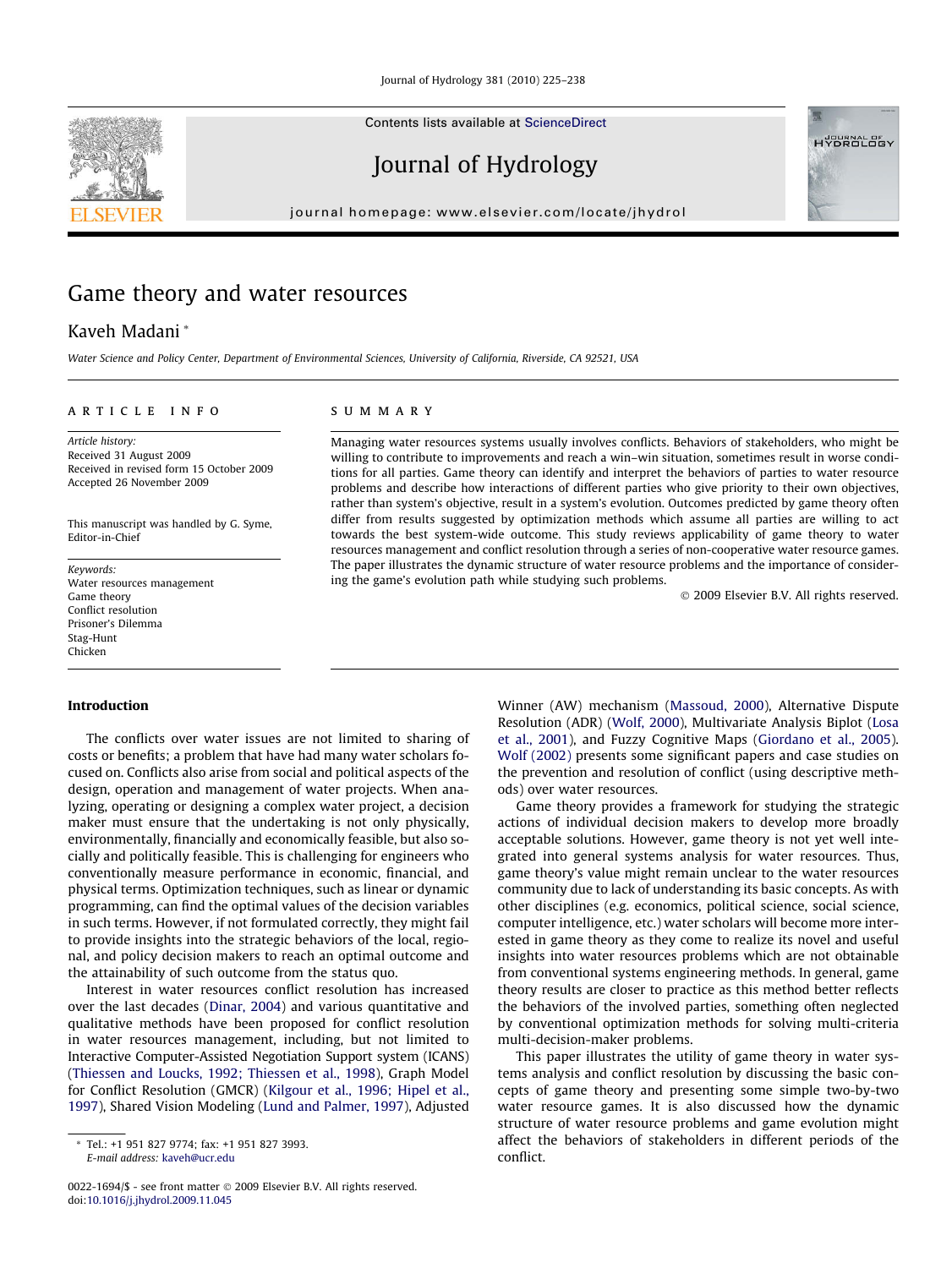Journal of Hydrology 381 (2010) 225–238

Contents lists available at [ScienceDirect](http://www.sciencedirect.com/science/journal/00221694)

# Journal of Hydrology

journal homepage: [www.elsevier.com/locate/jhydrol](http://www.elsevier.com/locate/jhydrol)

## Game theory and water resources

## Kaveh Madani \*

Water Science and Policy Center, Department of Environmental Sciences, University of California, Riverside, CA 92521, USA

#### article info

Article history: Received 31 August 2009 Received in revised form 15 October 2009 Accepted 26 November 2009

This manuscript was handled by G. Syme, Editor-in-Chief

Keywords: Water resources management Game theory Conflict resolution Prisoner's Dilemma Stag-Hunt Chicken

#### Introduction

The conflicts over water issues are not limited to sharing of costs or benefits; a problem that have had many water scholars focused on. Conflicts also arise from social and political aspects of the design, operation and management of water projects. When analyzing, operating or designing a complex water project, a decision maker must ensure that the undertaking is not only physically, environmentally, financially and economically feasible, but also socially and politically feasible. This is challenging for engineers who conventionally measure performance in economic, financial, and physical terms. Optimization techniques, such as linear or dynamic programming, can find the optimal values of the decision variables in such terms. However, if not formulated correctly, they might fail to provide insights into the strategic behaviors of the local, regional, and policy decision makers to reach an optimal outcome and the attainability of such outcome from the status quo.

Interest in water resources conflict resolution has increased over the last decades ([Dinar, 2004\)](#page-12-0) and various quantitative and qualitative methods have been proposed for conflict resolution in water resources management, including, but not limited to Interactive Computer-Assisted Negotiation Support system (ICANS) ([Thiessen and Loucks, 1992; Thiessen et al., 1998](#page-13-0)), Graph Model for Conflict Resolution (GMCR) [\(Kilgour et al., 1996; Hipel et al.,](#page-12-0) [1997\)](#page-12-0), Shared Vision Modeling ([Lund and Palmer, 1997\)](#page-12-0), Adjusted

### SUMMARY

Managing water resources systems usually involves conflicts. Behaviors of stakeholders, who might be willing to contribute to improvements and reach a win–win situation, sometimes result in worse conditions for all parties. Game theory can identify and interpret the behaviors of parties to water resource problems and describe how interactions of different parties who give priority to their own objectives, rather than system's objective, result in a system's evolution. Outcomes predicted by game theory often differ from results suggested by optimization methods which assume all parties are willing to act towards the best system-wide outcome. This study reviews applicability of game theory to water resources management and conflict resolution through a series of non-cooperative water resource games. The paper illustrates the dynamic structure of water resource problems and the importance of considering the game's evolution path while studying such problems.

© 2009 Elsevier B.V. All rights reserved.

**HYDROLOGY** 

Winner (AW) mechanism [\(Massoud, 2000](#page-12-0)), Alternative Dispute Resolution (ADR) [\(Wolf, 2000](#page-13-0)), Multivariate Analysis Biplot ([Losa](#page-12-0) [et al., 2001\)](#page-12-0), and Fuzzy Cognitive Maps ([Giordano et al., 2005\)](#page-12-0). [Wolf \(2002\)](#page-13-0) presents some significant papers and case studies on the prevention and resolution of conflict (using descriptive methods) over water resources.

Game theory provides a framework for studying the strategic actions of individual decision makers to develop more broadly acceptable solutions. However, game theory is not yet well integrated into general systems analysis for water resources. Thus, game theory's value might remain unclear to the water resources community due to lack of understanding its basic concepts. As with other disciplines (e.g. economics, political science, social science, computer intelligence, etc.) water scholars will become more interested in game theory as they come to realize its novel and useful insights into water resources problems which are not obtainable from conventional systems engineering methods. In general, game theory results are closer to practice as this method better reflects the behaviors of the involved parties, something often neglected by conventional optimization methods for solving multi-criteria multi-decision-maker problems.

This paper illustrates the utility of game theory in water systems analysis and conflict resolution by discussing the basic concepts of game theory and presenting some simple two-by-two water resource games. It is also discussed how the dynamic structure of water resource problems and game evolution might affect the behaviors of stakeholders in different periods of the conflict.



<sup>\*</sup> Tel.: +1 951 827 9774; fax: +1 951 827 3993. E-mail address: [kaveh@ucr.edu](mailto:kaveh@ucr.edu)

<sup>0022-1694/\$ -</sup> see front matter © 2009 Elsevier B.V. All rights reserved. doi[:10.1016/j.jhydrol.2009.11.045](http://dx.doi.org/10.1016/j.jhydrol.2009.11.045)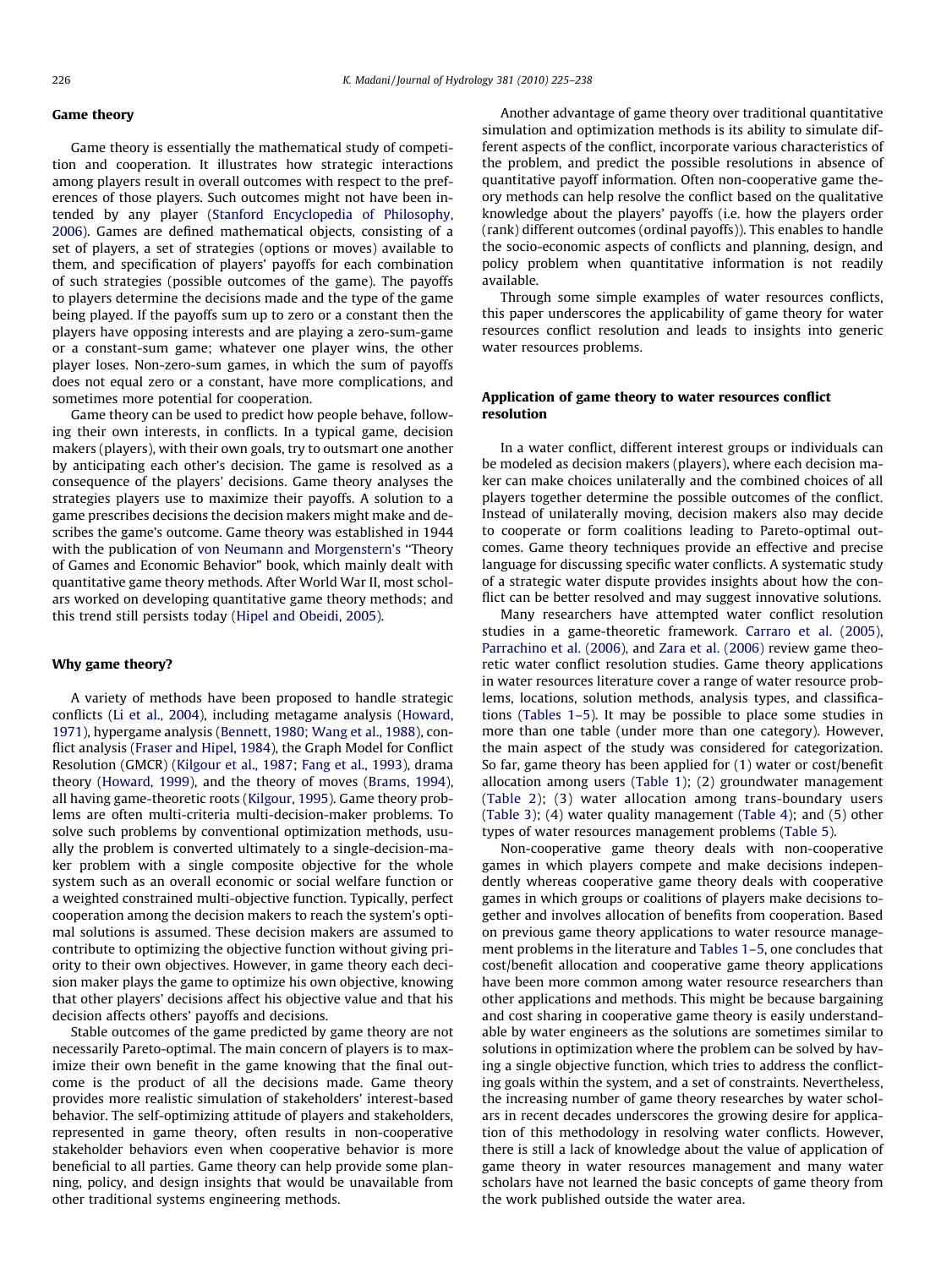#### Game theory

Game theory is essentially the mathematical study of competition and cooperation. It illustrates how strategic interactions among players result in overall outcomes with respect to the preferences of those players. Such outcomes might not have been intended by any player [\(Stanford Encyclopedia of Philosophy,](#page-12-0) [2006\)](#page-12-0). Games are defined mathematical objects, consisting of a set of players, a set of strategies (options or moves) available to them, and specification of players' payoffs for each combination of such strategies (possible outcomes of the game). The payoffs to players determine the decisions made and the type of the game being played. If the payoffs sum up to zero or a constant then the players have opposing interests and are playing a zero-sum-game or a constant-sum game; whatever one player wins, the other player loses. Non-zero-sum games, in which the sum of payoffs does not equal zero or a constant, have more complications, and sometimes more potential for cooperation.

Game theory can be used to predict how people behave, following their own interests, in conflicts. In a typical game, decision makers (players), with their own goals, try to outsmart one another by anticipating each other's decision. The game is resolved as a consequence of the players' decisions. Game theory analyses the strategies players use to maximize their payoffs. A solution to a game prescribes decisions the decision makers might make and describes the game's outcome. Game theory was established in 1944 with the publication of [von Neumann and Morgenstern's](#page-13-0) ''Theory of Games and Economic Behavior" book, which mainly dealt with quantitative game theory methods. After World War II, most scholars worked on developing quantitative game theory methods; and this trend still persists today ([Hipel and Obeidi, 2005\)](#page-12-0).

#### Why game theory?

A variety of methods have been proposed to handle strategic conflicts ([Li et al., 2004\)](#page-12-0), including metagame analysis ([Howard,](#page-12-0) [1971\)](#page-12-0), hypergame analysis [\(Bennett, 1980; Wang et al., 1988](#page-12-0)), conflict analysis ([Fraser and Hipel, 1984](#page-12-0)), the Graph Model for Conflict Resolution (GMCR) ([Kilgour et al., 1987; Fang et al., 1993\)](#page-12-0), drama theory [\(Howard, 1999\)](#page-12-0), and the theory of moves ([Brams, 1994\)](#page-12-0), all having game-theoretic roots [\(Kilgour, 1995\)](#page-12-0). Game theory problems are often multi-criteria multi-decision-maker problems. To solve such problems by conventional optimization methods, usually the problem is converted ultimately to a single-decision-maker problem with a single composite objective for the whole system such as an overall economic or social welfare function or a weighted constrained multi-objective function. Typically, perfect cooperation among the decision makers to reach the system's optimal solutions is assumed. These decision makers are assumed to contribute to optimizing the objective function without giving priority to their own objectives. However, in game theory each decision maker plays the game to optimize his own objective, knowing that other players' decisions affect his objective value and that his decision affects others' payoffs and decisions.

Stable outcomes of the game predicted by game theory are not necessarily Pareto-optimal. The main concern of players is to maximize their own benefit in the game knowing that the final outcome is the product of all the decisions made. Game theory provides more realistic simulation of stakeholders' interest-based behavior. The self-optimizing attitude of players and stakeholders, represented in game theory, often results in non-cooperative stakeholder behaviors even when cooperative behavior is more beneficial to all parties. Game theory can help provide some planning, policy, and design insights that would be unavailable from other traditional systems engineering methods.

Another advantage of game theory over traditional quantitative simulation and optimization methods is its ability to simulate different aspects of the conflict, incorporate various characteristics of the problem, and predict the possible resolutions in absence of quantitative payoff information. Often non-cooperative game theory methods can help resolve the conflict based on the qualitative knowledge about the players' payoffs (i.e. how the players order (rank) different outcomes (ordinal payoffs)). This enables to handle the socio-economic aspects of conflicts and planning, design, and policy problem when quantitative information is not readily available.

Through some simple examples of water resources conflicts, this paper underscores the applicability of game theory for water resources conflict resolution and leads to insights into generic water resources problems.

#### Application of game theory to water resources conflict resolution

In a water conflict, different interest groups or individuals can be modeled as decision makers (players), where each decision maker can make choices unilaterally and the combined choices of all players together determine the possible outcomes of the conflict. Instead of unilaterally moving, decision makers also may decide to cooperate or form coalitions leading to Pareto-optimal outcomes. Game theory techniques provide an effective and precise language for discussing specific water conflicts. A systematic study of a strategic water dispute provides insights about how the conflict can be better resolved and may suggest innovative solutions.

Many researchers have attempted water conflict resolution studies in a game-theoretic framework. [Carraro et al. \(2005\),](#page-12-0) [Parrachino et al. \(2006\)](#page-12-0), and [Zara et al. \(2006\)](#page-13-0) review game theoretic water conflict resolution studies. Game theory applications in water resources literature cover a range of water resource problems, locations, solution methods, analysis types, and classifications [\(Tables 1–5\)](#page-2-0). It may be possible to place some studies in more than one table (under more than one category). However, the main aspect of the study was considered for categorization. So far, game theory has been applied for (1) water or cost/benefit allocation among users [\(Table 1\)](#page-2-0); (2) groundwater management ([Table 2\)](#page-3-0); (3) water allocation among trans-boundary users ([Table 3\)](#page-4-0); (4) water quality management [\(Table 4](#page-5-0)); and (5) other types of water resources management problems [\(Table 5\)](#page-5-0).

Non-cooperative game theory deals with non-cooperative games in which players compete and make decisions independently whereas cooperative game theory deals with cooperative games in which groups or coalitions of players make decisions together and involves allocation of benefits from cooperation. Based on previous game theory applications to water resource management problems in the literature and [Tables 1–5](#page-2-0), one concludes that cost/benefit allocation and cooperative game theory applications have been more common among water resource researchers than other applications and methods. This might be because bargaining and cost sharing in cooperative game theory is easily understandable by water engineers as the solutions are sometimes similar to solutions in optimization where the problem can be solved by having a single objective function, which tries to address the conflicting goals within the system, and a set of constraints. Nevertheless, the increasing number of game theory researches by water scholars in recent decades underscores the growing desire for application of this methodology in resolving water conflicts. However, there is still a lack of knowledge about the value of application of game theory in water resources management and many water scholars have not learned the basic concepts of game theory from the work published outside the water area.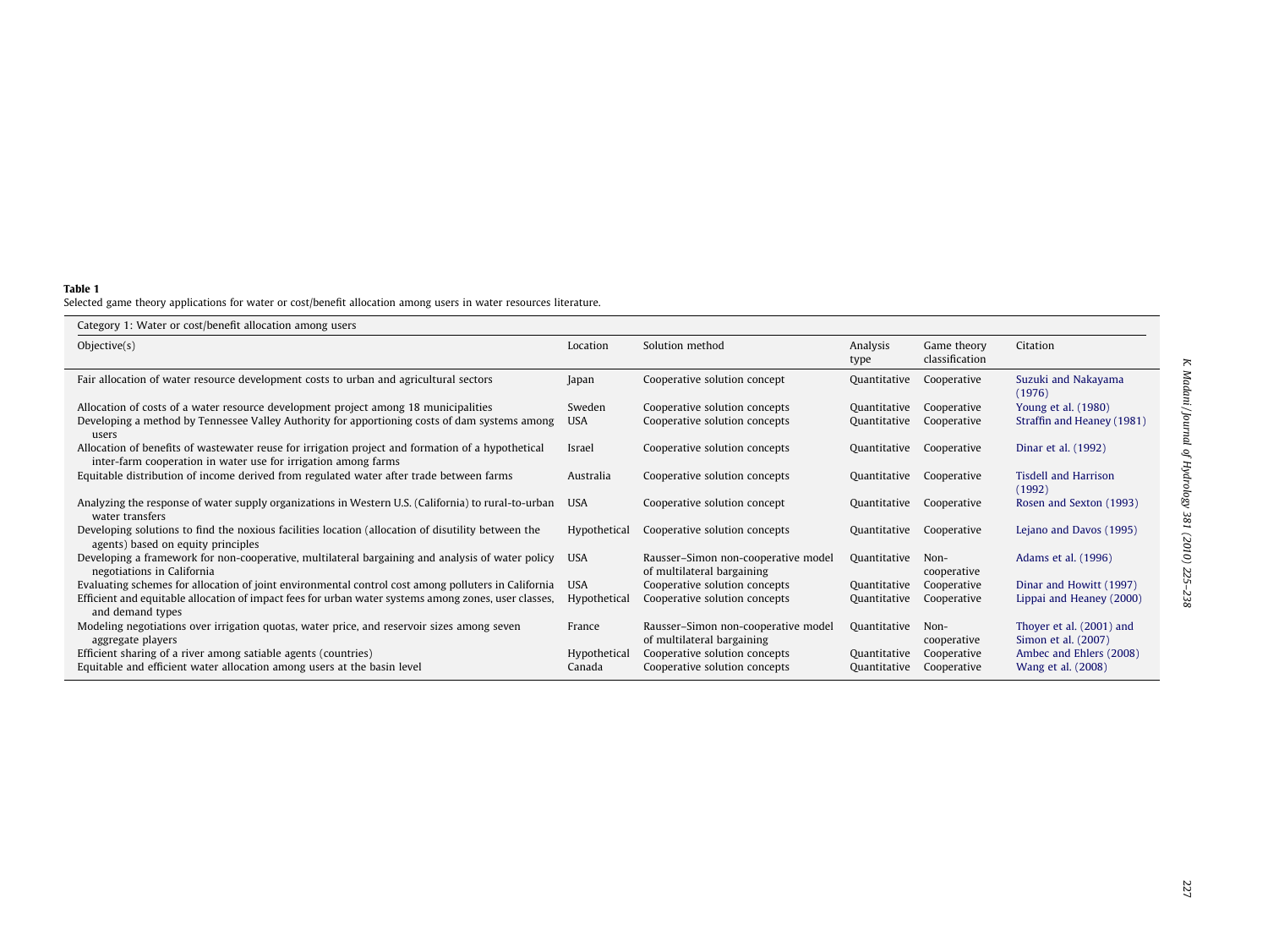<span id="page-2-0"></span>Selected game theory applications for water or cost/benefit allocation among users in water resources literature.

| Category 1: Water or cost/benefit allocation among users                                                                                                            |              |                                                                   |                  |                               |                                                 |  |
|---------------------------------------------------------------------------------------------------------------------------------------------------------------------|--------------|-------------------------------------------------------------------|------------------|-------------------------------|-------------------------------------------------|--|
| Objective(s)                                                                                                                                                        | Location     | Solution method                                                   | Analysis<br>type | Game theory<br>classification | Citation                                        |  |
| Fair allocation of water resource development costs to urban and agricultural sectors                                                                               | Japan        | Cooperative solution concept                                      | Quantitative     | Cooperative                   | Suzuki and Nakayama<br>(1976)                   |  |
| Allocation of costs of a water resource development project among 18 municipalities                                                                                 | Sweden       | Cooperative solution concepts                                     | Quantitative     | Cooperative                   | Young et al. (1980)                             |  |
| Developing a method by Tennessee Valley Authority for apportioning costs of dam systems among<br>users                                                              | <b>USA</b>   | Cooperative solution concepts                                     | Quantitative     | Cooperative                   | Straffin and Heaney (1981)                      |  |
| Allocation of benefits of wastewater reuse for irrigation project and formation of a hypothetical<br>inter-farm cooperation in water use for irrigation among farms | Israel       | Cooperative solution concepts                                     | Quantitative     | Cooperative                   | Dinar et al. (1992)                             |  |
| Equitable distribution of income derived from regulated water after trade between farms                                                                             | Australia    | Cooperative solution concepts                                     | Quantitative     | Cooperative                   | <b>Tisdell and Harrison</b><br>(1992)           |  |
| Analyzing the response of water supply organizations in Western U.S. (California) to rural-to-urban USA<br>water transfers                                          |              | Cooperative solution concept                                      | Quantitative     | Cooperative                   | Rosen and Sexton (1993)                         |  |
| Developing solutions to find the noxious facilities location (allocation of disutility between the<br>agents) based on equity principles                            | Hypothetical | Cooperative solution concepts                                     | Quantitative     | Cooperative                   | Lejano and Davos (1995)                         |  |
| Developing a framework for non-cooperative, multilateral bargaining and analysis of water policy<br>negotiations in California                                      | USA          | Rausser-Simon non-cooperative model<br>of multilateral bargaining | Quantitative     | Non-<br>cooperative           | Adams et al. (1996)                             |  |
| Evaluating schemes for allocation of joint environmental control cost among polluters in California                                                                 | <b>USA</b>   | Cooperative solution concepts                                     | Quantitative     | Cooperative                   | Dinar and Howitt (1997)                         |  |
| Efficient and equitable allocation of impact fees for urban water systems among zones, user classes,<br>and demand types                                            | Hypothetical | Cooperative solution concepts                                     | Quantitative     | Cooperative                   | Lippai and Heaney (2000)                        |  |
| Modeling negotiations over irrigation quotas, water price, and reservoir sizes among seven<br>aggregate players                                                     | France       | Rausser-Simon non-cooperative model<br>of multilateral bargaining | Ouantitative     | Non-<br>cooperative           | Thoyer et al. (2001) and<br>Simon et al. (2007) |  |
| Efficient sharing of a river among satiable agents (countries)                                                                                                      | Hypothetical | Cooperative solution concepts                                     | Quantitative     | Cooperative                   | Ambec and Ehlers (2008)                         |  |
| Equitable and efficient water allocation among users at the basin level                                                                                             | Canada       | Cooperative solution concepts                                     | Quantitative     | Cooperative                   | Wang et al. (2008)                              |  |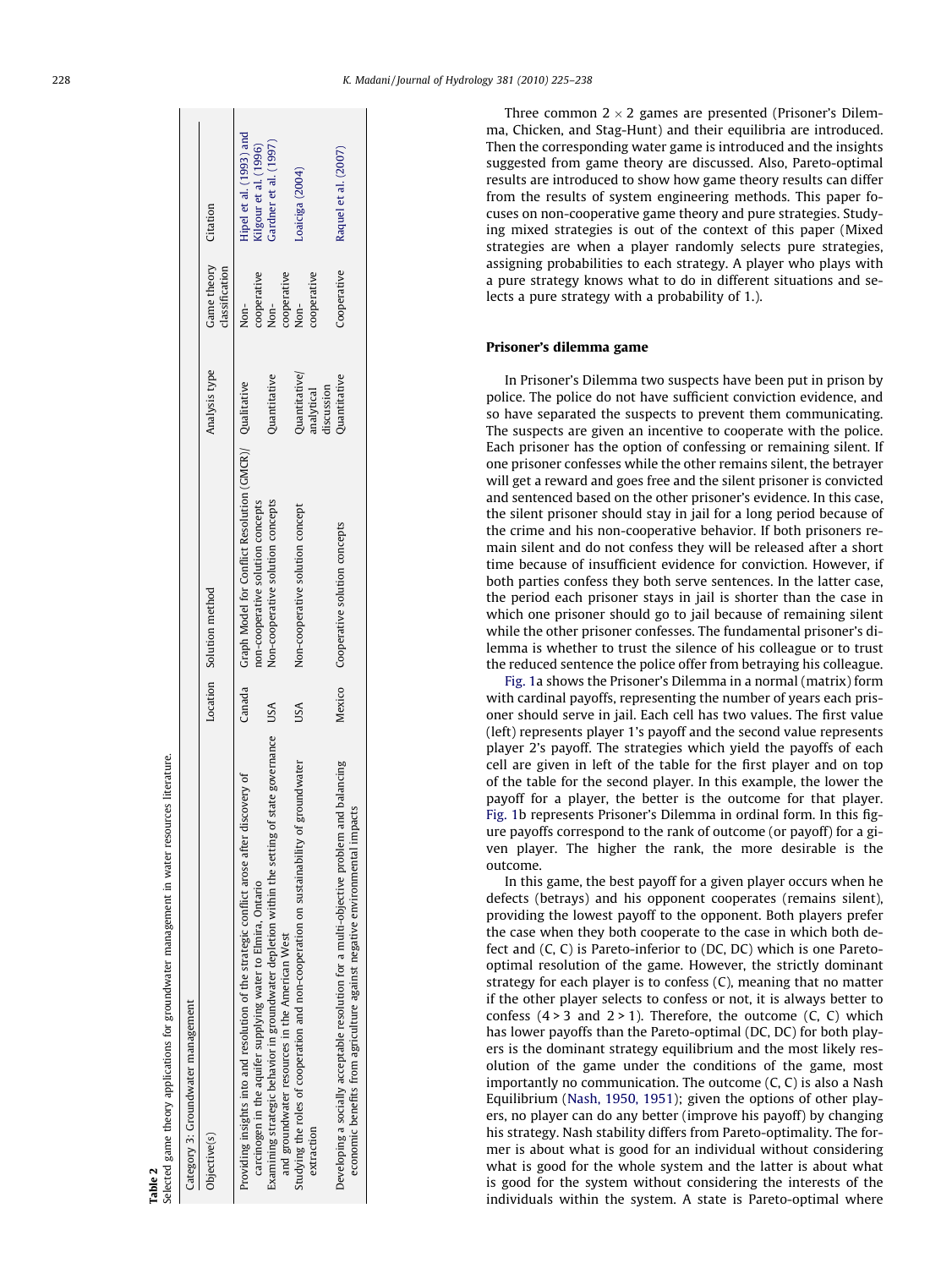<span id="page-3-0"></span>

| 228 |                                                                                                                                                                                                               | K. Madani/Journal of Hydrology 381 (2010) 225-238                                                                                                                                                                                                                                                   |
|-----|---------------------------------------------------------------------------------------------------------------------------------------------------------------------------------------------------------------|-----------------------------------------------------------------------------------------------------------------------------------------------------------------------------------------------------------------------------------------------------------------------------------------------------|
|     | Hipel et al. (1993) and<br>Gardner et al. (1997)<br>Kilgour et al. (1996)<br>Raquel et al. (2007)<br>Loaiciga (2004)<br>Citation                                                                              | Three commor<br>ma, Chicken, and<br>Then the correspo<br>suggested from g<br>results are introdu<br>from the results<br>cuses on non-coop<br>ing mixed strateg<br>strategies are wh                                                                                                                 |
|     | Game theory<br>classification<br>Cooperative<br>cooperative<br>cooperative<br>cooperative<br>$Non-$<br>Non-<br>Non-                                                                                           | assigning probabi<br>a pure strategy k<br>lects a pure strate                                                                                                                                                                                                                                       |
|     |                                                                                                                                                                                                               | Prisoner's dilemi                                                                                                                                                                                                                                                                                   |
|     | Analysis type<br>Quantitative<br>Quantitative<br>Quantitative<br>Qualitative<br>discussion<br>analytical                                                                                                      | In Prisoner's D<br>police. The police<br>so have separated<br>The suspects are                                                                                                                                                                                                                      |
|     | Graph Model for Conflict Resolution (GMCR)/<br>Non-cooperative solution concepts<br>non-cooperative solution concepts<br>Non-cooperative solution concept<br>Cooperative solution concepts<br>Solution method | Each prisoner has<br>one prisoner confo<br>will get a reward<br>and sentenced ba:<br>the silent prisone<br>the crime and his<br>main silent and d<br>time because of i<br>both parties confe<br>the period each p<br>which one prison<br>while the other pi<br>lemma is whethe<br>the reduced sente |
|     | Location<br>Mexico<br>Canada<br>USA<br>USA                                                                                                                                                                    | Fig. 1a shows t<br>with cardinal pay<br>oner should serve                                                                                                                                                                                                                                           |

from the results of system engineering methods. This paper focuses on non-cooperative game theory and pure strategies. Studying mixed strategies is out of the context of this paper (Mixed strategies are when a player randomly selects pure strategies, assigning probabilities to each strategy. A player who plays with a pure strategy knows what to do in different situations and selects a pure strategy with a probability of 1.). Prisoner's dilemma game In Prisoner's Dilemma two suspects have been put in prison by

police. The police do not have sufficient conviction evidence, and so have separated the suspects to prevent them communicating. The suspects are given an incentive to cooperate with the police. Each prisoner has the option of confessing or remaining silent. If one prisoner confesses while the other remains silent, the betrayer will get a reward and goes free and the silent prisoner is convicted and sentenced based on the other prisoner's evidence. In this case, the silent prisoner should stay in jail for a long period because of the crime and his non-cooperative behavior. If both prisoners remain silent and do not confess they will be released after a short time because of insufficient evidence for conviction. However, if both parties confess they both serve sentences. In the latter case, the period each prisoner stays in jail is shorter than the case in which one prisoner should go to jail because of remaining silent while the other prisoner confesses. The fundamental prisoner's dilemma is whether to trust the silence of his colleague or to trust the reduced sentence the police offer from betraying his colleague.

Three common  $2 \times 2$  games are presented (Prisoner's Dilemma, Chicken, and Stag-Hunt) and their equilibria are introduced. Then the corresponding water game is introduced and the insights suggested from game theory are discussed. Also, Pareto-optimal results are introduced to show how game theory results can differ

[Fig. 1a](#page-6-0) shows the Prisoner's Dilemma in a normal (matrix) form with cardinal payoffs, representing the number of years each prisoner should serve in jail. Each cell has two values. The first value (left) represents player 1's payoff and the second value represents player 2's payoff. The strategies which yield the payoffs of each cell are given in left of the table for the first player and on top of the table for the second player. In this example, the lower the payoff for a player, the better is the outcome for that player. [Fig. 1b](#page-6-0) represents Prisoner's Dilemma in ordinal form. In this figure payoffs correspond to the rank of outcome (or payoff) for a given player. The higher the rank, the more desirable is the outcome.

In this game, the best payoff for a given player occurs when he defects (betrays) and his opponent cooperates (remains silent), providing the lowest payoff to the opponent. Both players prefer the case when they both cooperate to the case in which both defect and (C, C) is Pareto-inferior to (DC, DC) which is one Paretooptimal resolution of the game. However, the strictly dominant strategy for each player is to confess (C), meaning that no matter if the other player selects to confess or not, it is always better to confess  $(4 > 3$  and  $2 > 1$ ). Therefore, the outcome  $(C, C)$  which has lower payoffs than the Pareto-optimal (DC, DC) for both players is the dominant strategy equilibrium and the most likely resolution of the game under the conditions of the game, most importantly no communication. The outcome (C, C) is also a Nash Equilibrium [\(Nash, 1950, 1951\)](#page-12-0); given the options of other players, no player can do any better (improve his payoff) by changing his strategy. Nash stability differs from Pareto-optimality. The former is about what is good for an individual without considering what is good for the whole system and the latter is about what is good for the system without considering the interests of the individuals within the system. A state is Pareto-optimal where

Selected game theory applications for groundwater management in water resources literature Selected game theory applications for groundwater management in water resources literature.

Category 3: Groundwater management

Objective(s)

Category 3: Groundwater management

Providing insights into and resolution of the strategic conflict arose after discovery of

Providing insights into and resolution of the strategic conflict arose after discovery

carcinogen in the aquifer supplying water to Elmira, Ontario

carcinogen in the aquifer supplying water to Elmira, Ontario

Examining strategic behavior in groundwater depletion within the setting of state governance

Examining strategic behavior in groundwater depletion within the setting of state governance<br>and groundwater resources in the American West<br>Studying the roles of cooperation and non-cooperation on sustainability of groundw

and groundwater resources in the American West

extraction

extraction

Studying the roles of cooperation and non-cooperation on sustainability of groundwater

Developing a socially acceptable resolution for a multi-objective problem and balancing economic benefits from agriculture against negative environmental impacts

economic benefits from agriculture against negative environmental impacts

Developing a socially acceptable resolution for a multi-objective problem and balancing

 $\overline{\mathrm{Objective}}(s)$  Game theory Location Solution method Game theory

ъf

Table 2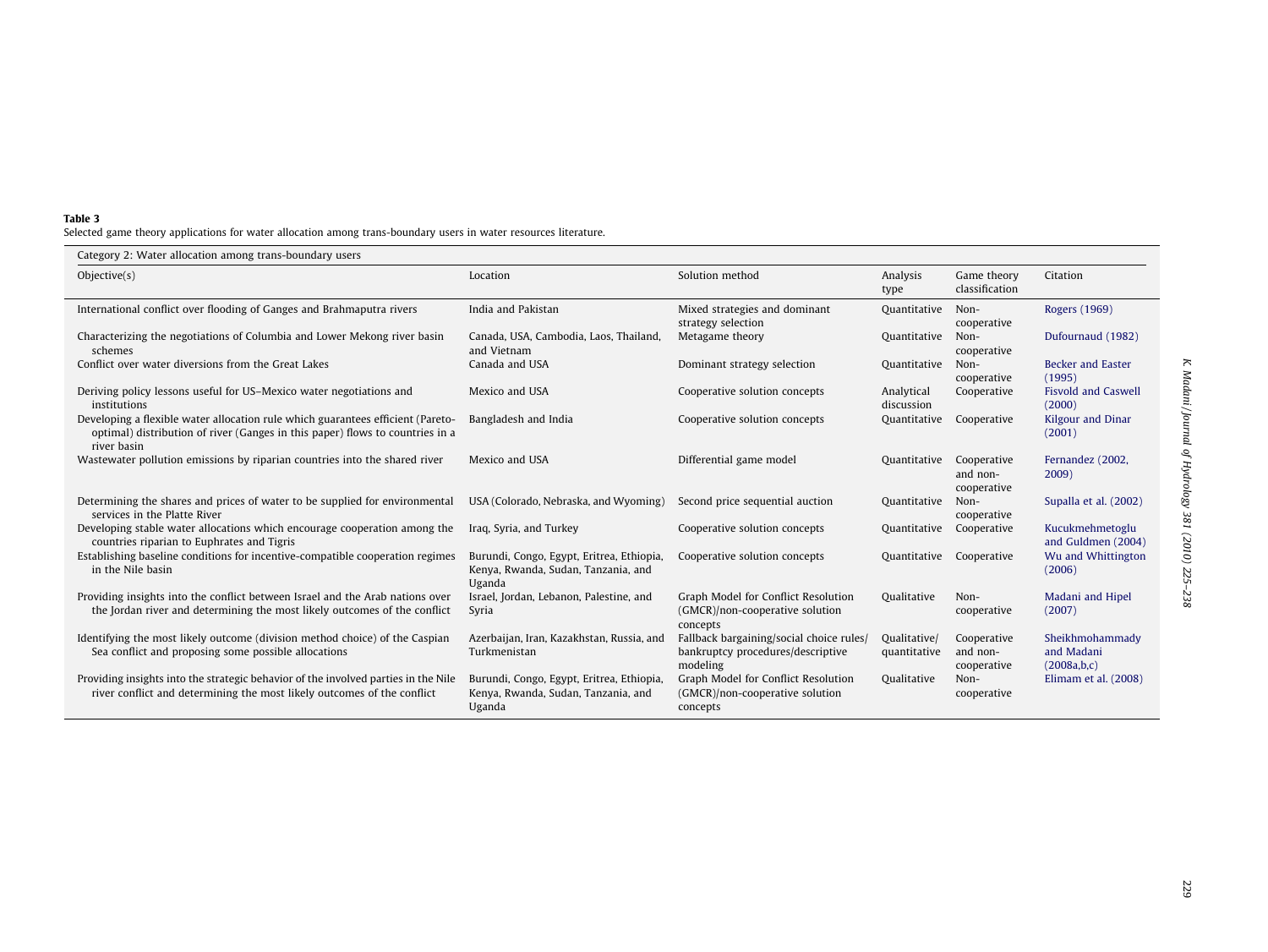<span id="page-4-0"></span>**Table 3**<br>Selected game theory applications for water allocation among trans-boundary users in water resources literature.

| Category 2: Water allocation among trans-boundary users                                                                                                                         |                                                                                            |                                                                                           |                              |                                        |                                              |
|---------------------------------------------------------------------------------------------------------------------------------------------------------------------------------|--------------------------------------------------------------------------------------------|-------------------------------------------------------------------------------------------|------------------------------|----------------------------------------|----------------------------------------------|
| Objective(s)                                                                                                                                                                    | Location                                                                                   | Solution method                                                                           | Analysis<br>type             | Game theory<br>classification          | Citation                                     |
| International conflict over flooding of Ganges and Brahmaputra rivers                                                                                                           | India and Pakistan                                                                         | Mixed strategies and dominant<br>strategy selection                                       | Quantitative                 | Non-<br>cooperative                    | Rogers (1969)                                |
| Characterizing the negotiations of Columbia and Lower Mekong river basin<br>schemes                                                                                             | Canada, USA, Cambodia, Laos, Thailand,<br>and Vietnam                                      | Metagame theory                                                                           | Quantitative                 | Non-<br>cooperative                    | Dufournaud (1982)                            |
| Conflict over water diversions from the Great Lakes                                                                                                                             | Canada and USA                                                                             | Dominant strategy selection                                                               | Quantitative                 | Non-<br>cooperative                    | <b>Becker and Easter</b><br>(1995)           |
| Deriving policy lessons useful for US-Mexico water negotiations and<br>institutions                                                                                             | Mexico and USA                                                                             | Cooperative solution concepts                                                             | Analytical<br>discussion     | Cooperative                            | <b>Fisvold and Caswell</b><br>(2000)         |
| Developing a flexible water allocation rule which guarantees efficient (Pareto-<br>optimal) distribution of river (Ganges in this paper) flows to countries in a<br>river basin | Bangladesh and India                                                                       | Cooperative solution concepts                                                             | Quantitative                 | Cooperative                            | Kilgour and Dinar<br>(2001)                  |
| Wastewater pollution emissions by riparian countries into the shared river                                                                                                      | Mexico and USA                                                                             | Differential game model                                                                   | Quantitative                 | Cooperative<br>and non-<br>cooperative | Fernandez (2002,<br>2009)                    |
| Determining the shares and prices of water to be supplied for environmental<br>services in the Platte River                                                                     | USA (Colorado, Nebraska, and Wyoming)                                                      | Second price sequential auction                                                           | Quantitative                 | Non-<br>cooperative                    | Supalla et al. (2002)                        |
| Developing stable water allocations which encourage cooperation among the<br>countries riparian to Euphrates and Tigris                                                         | Iraq, Syria, and Turkey                                                                    | Cooperative solution concepts                                                             | Quantitative                 | Cooperative                            | Kucukmehmetoglu<br>and Guldmen (2004)        |
| Establishing baseline conditions for incentive-compatible cooperation regimes<br>in the Nile basin                                                                              | Burundi, Congo, Egypt, Eritrea, Ethiopia,<br>Kenya, Rwanda, Sudan, Tanzania, and<br>Uganda | Cooperative solution concepts                                                             | Quantitative                 | Cooperative                            | Wu and Whittington<br>(2006)                 |
| Providing insights into the conflict between Israel and the Arab nations over<br>the Jordan river and determining the most likely outcomes of the conflict                      | Israel, Jordan, Lebanon, Palestine, and<br>Syria                                           | Graph Model for Conflict Resolution<br>(GMCR)/non-cooperative solution<br>concepts        | Qualitative                  | Non-<br>cooperative                    | Madani and Hipel<br>(2007)                   |
| Identifying the most likely outcome (division method choice) of the Caspian<br>Sea conflict and proposing some possible allocations                                             | Azerbaijan, Iran, Kazakhstan, Russia, and<br>Turkmenistan                                  | Fallback bargaining/social choice rules/<br>bankruptcy procedures/descriptive<br>modeling | Qualitative/<br>quantitative | Cooperative<br>and non-<br>cooperative | Sheikhmohammady<br>and Madani<br>(2008a,b,c) |
| Providing insights into the strategic behavior of the involved parties in the Nile<br>river conflict and determining the most likely outcomes of the conflict                   | Burundi, Congo, Egypt, Eritrea, Ethiopia,<br>Kenya, Rwanda, Sudan, Tanzania, and<br>Uganda | Graph Model for Conflict Resolution<br>(GMCR)/non-cooperative solution<br>concepts        | Qualitative                  | Non-<br>cooperative                    | Elimam et al. (2008)                         |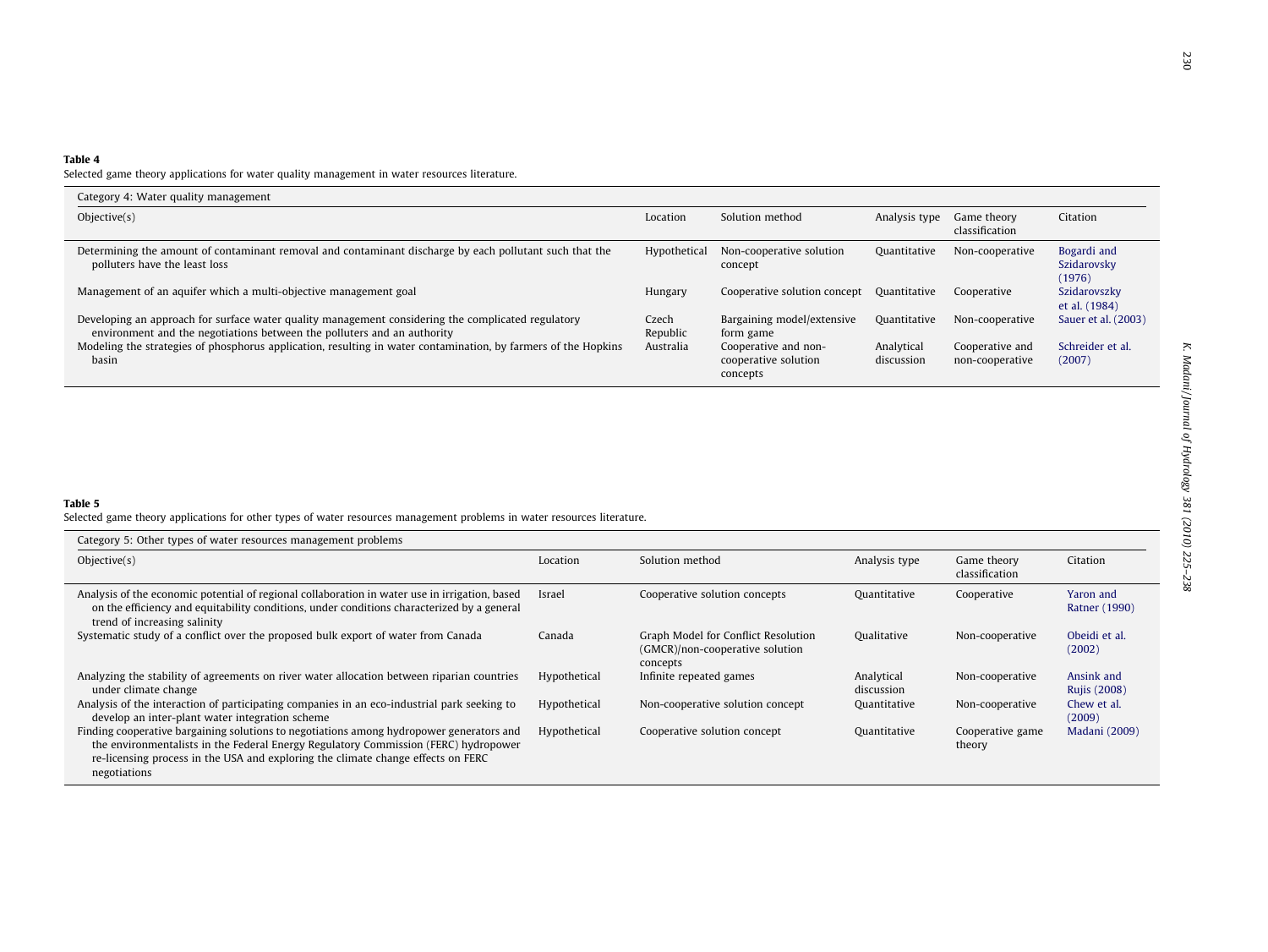### <span id="page-5-0"></span>Table 4

Selected game theory applications for water quality management in water resources literature.

| Category 4: Water quality management                                                                                                                                          |                   |                                                          |                          |                                    |                                      |
|-------------------------------------------------------------------------------------------------------------------------------------------------------------------------------|-------------------|----------------------------------------------------------|--------------------------|------------------------------------|--------------------------------------|
| Objective(s)                                                                                                                                                                  | Location          | Solution method                                          | Analysis type            | Game theory<br>classification      | Citation                             |
| Determining the amount of contaminant removal and contaminant discharge by each pollutant such that the<br>polluters have the least loss                                      | Hypothetical      | Non-cooperative solution<br>concept                      | Quantitative             | Non-cooperative                    | Bogardi and<br>Szidarovsky<br>(1976) |
| Management of an aquifer which a multi-objective management goal                                                                                                              | Hungary           | Cooperative solution concept                             | Ouantitative             | Cooperative                        | Szidarovszky<br>et al. (1984)        |
| Developing an approach for surface water quality management considering the complicated regulatory<br>environment and the negotiations between the polluters and an authority | Czech<br>Republic | Bargaining model/extensive<br>form game                  | Ouantitative             | Non-cooperative                    | Sauer et al. (2003)                  |
| Modeling the strategies of phosphorus application, resulting in water contamination, by farmers of the Hopkins<br>basin                                                       | Australia         | Cooperative and non-<br>cooperative solution<br>concepts | Analytical<br>discussion | Cooperative and<br>non-cooperative | Schreider et al.<br>(2007)           |

**Table 5**<br>Selected game theory applications for other types of water resources management problems in water resources literature.

| Category 5: Other types of water resources management problems                                                                                                                                                                                                                      |              |                                                                                    |                          |                               |                                   |  |
|-------------------------------------------------------------------------------------------------------------------------------------------------------------------------------------------------------------------------------------------------------------------------------------|--------------|------------------------------------------------------------------------------------|--------------------------|-------------------------------|-----------------------------------|--|
| Objective(s)                                                                                                                                                                                                                                                                        | Location     | Solution method                                                                    | Analysis type            | Game theory<br>classification | Citation                          |  |
| Analysis of the economic potential of regional collaboration in water use in irrigation, based<br>on the efficiency and equitability conditions, under conditions characterized by a general<br>trend of increasing salinity                                                        | Israel       | Cooperative solution concepts                                                      | Quantitative             | Cooperative                   | Yaron and<br><b>Ratner</b> (1990) |  |
| Systematic study of a conflict over the proposed bulk export of water from Canada                                                                                                                                                                                                   | Canada       | Graph Model for Conflict Resolution<br>(GMCR)/non-cooperative solution<br>concepts | Qualitative              | Non-cooperative               | Obeidi et al.<br>(2002)           |  |
| Analyzing the stability of agreements on river water allocation between riparian countries<br>under climate change                                                                                                                                                                  | Hypothetical | Infinite repeated games                                                            | Analytical<br>discussion | Non-cooperative               | Ansink and<br><b>Rujis (2008)</b> |  |
| Analysis of the interaction of participating companies in an eco-industrial park seeking to<br>develop an inter-plant water integration scheme                                                                                                                                      | Hypothetical | Non-cooperative solution concept                                                   | Quantitative             | Non-cooperative               | Chew et al.<br>(2009)             |  |
| Finding cooperative bargaining solutions to negotiations among hydropower generators and<br>the environmentalists in the Federal Energy Regulatory Commission (FERC) hydropower<br>re-licensing process in the USA and exploring the climate change effects on FERC<br>negotiations | Hypothetical | Cooperative solution concept                                                       | Quantitative             | Cooperative game<br>theory    | <b>Madani</b> (2009)              |  |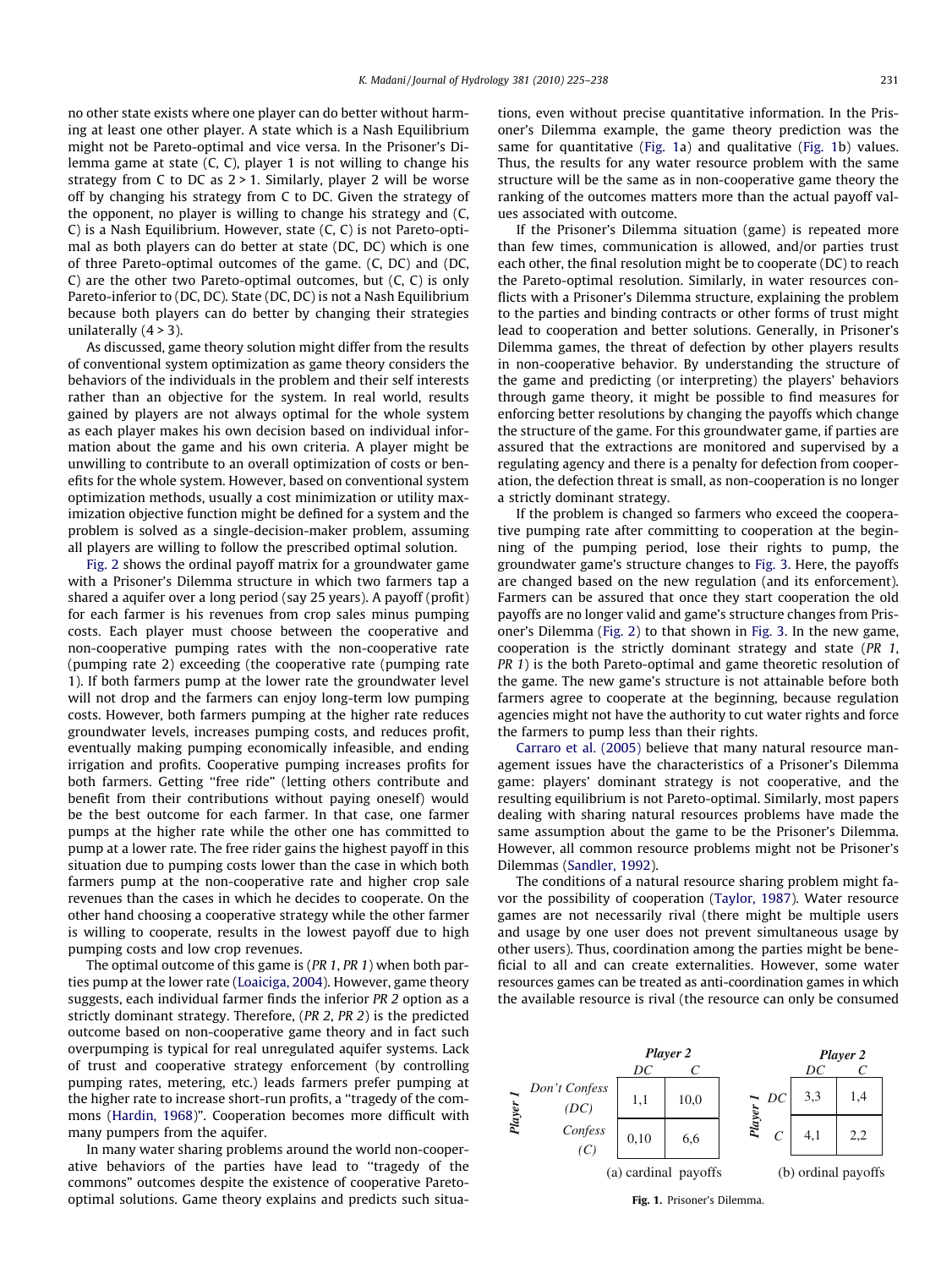<span id="page-6-0"></span>no other state exists where one player can do better without harming at least one other player. A state which is a Nash Equilibrium might not be Pareto-optimal and vice versa. In the Prisoner's Dilemma game at state (C, C), player 1 is not willing to change his strategy from C to DC as 2 > 1. Similarly, player 2 will be worse off by changing his strategy from C to DC. Given the strategy of the opponent, no player is willing to change his strategy and (C, C) is a Nash Equilibrium. However, state (C, C) is not Pareto-optimal as both players can do better at state (DC, DC) which is one of three Pareto-optimal outcomes of the game. (C, DC) and (DC, C) are the other two Pareto-optimal outcomes, but (C, C) is only Pareto-inferior to (DC, DC). State (DC, DC) is not a Nash Equilibrium because both players can do better by changing their strategies unilaterally  $(4 > 3)$ .

As discussed, game theory solution might differ from the results of conventional system optimization as game theory considers the behaviors of the individuals in the problem and their self interests rather than an objective for the system. In real world, results gained by players are not always optimal for the whole system as each player makes his own decision based on individual information about the game and his own criteria. A player might be unwilling to contribute to an overall optimization of costs or benefits for the whole system. However, based on conventional system optimization methods, usually a cost minimization or utility maximization objective function might be defined for a system and the problem is solved as a single-decision-maker problem, assuming all players are willing to follow the prescribed optimal solution.

[Fig. 2](#page-7-0) shows the ordinal payoff matrix for a groundwater game with a Prisoner's Dilemma structure in which two farmers tap a shared a aquifer over a long period (say 25 years). A payoff (profit) for each farmer is his revenues from crop sales minus pumping costs. Each player must choose between the cooperative and non-cooperative pumping rates with the non-cooperative rate (pumping rate 2) exceeding (the cooperative rate (pumping rate 1). If both farmers pump at the lower rate the groundwater level will not drop and the farmers can enjoy long-term low pumping costs. However, both farmers pumping at the higher rate reduces groundwater levels, increases pumping costs, and reduces profit, eventually making pumping economically infeasible, and ending irrigation and profits. Cooperative pumping increases profits for both farmers. Getting "free ride" (letting others contribute and benefit from their contributions without paying oneself) would be the best outcome for each farmer. In that case, one farmer pumps at the higher rate while the other one has committed to pump at a lower rate. The free rider gains the highest payoff in this situation due to pumping costs lower than the case in which both farmers pump at the non-cooperative rate and higher crop sale revenues than the cases in which he decides to cooperate. On the other hand choosing a cooperative strategy while the other farmer is willing to cooperate, results in the lowest payoff due to high pumping costs and low crop revenues.

The optimal outcome of this game is (PR 1, PR 1) when both parties pump at the lower rate ([Loaiciga, 2004\)](#page-12-0). However, game theory suggests, each individual farmer finds the inferior PR 2 option as a strictly dominant strategy. Therefore, (PR 2, PR 2) is the predicted outcome based on non-cooperative game theory and in fact such overpumping is typical for real unregulated aquifer systems. Lack of trust and cooperative strategy enforcement (by controlling pumping rates, metering, etc.) leads farmers prefer pumping at the higher rate to increase short-run profits, a ''tragedy of the commons [\(Hardin, 1968\)](#page-12-0)". Cooperation becomes more difficult with many pumpers from the aquifer.

In many water sharing problems around the world non-cooperative behaviors of the parties have lead to ''tragedy of the commons" outcomes despite the existence of cooperative Paretooptimal solutions. Game theory explains and predicts such situations, even without precise quantitative information. In the Prisoner's Dilemma example, the game theory prediction was the same for quantitative (Fig. 1a) and qualitative (Fig. 1b) values. Thus, the results for any water resource problem with the same structure will be the same as in non-cooperative game theory the ranking of the outcomes matters more than the actual payoff values associated with outcome.

If the Prisoner's Dilemma situation (game) is repeated more than few times, communication is allowed, and/or parties trust each other, the final resolution might be to cooperate (DC) to reach the Pareto-optimal resolution. Similarly, in water resources conflicts with a Prisoner's Dilemma structure, explaining the problem to the parties and binding contracts or other forms of trust might lead to cooperation and better solutions. Generally, in Prisoner's Dilemma games, the threat of defection by other players results in non-cooperative behavior. By understanding the structure of the game and predicting (or interpreting) the players' behaviors through game theory, it might be possible to find measures for enforcing better resolutions by changing the payoffs which change the structure of the game. For this groundwater game, if parties are assured that the extractions are monitored and supervised by a regulating agency and there is a penalty for defection from cooperation, the defection threat is small, as non-cooperation is no longer a strictly dominant strategy.

If the problem is changed so farmers who exceed the cooperative pumping rate after committing to cooperation at the beginning of the pumping period, lose their rights to pump, the groundwater game's structure changes to [Fig. 3](#page-7-0). Here, the payoffs are changed based on the new regulation (and its enforcement). Farmers can be assured that once they start cooperation the old payoffs are no longer valid and game's structure changes from Prisoner's Dilemma [\(Fig. 2\)](#page-7-0) to that shown in [Fig. 3](#page-7-0). In the new game, cooperation is the strictly dominant strategy and state (PR 1, PR 1) is the both Pareto-optimal and game theoretic resolution of the game. The new game's structure is not attainable before both farmers agree to cooperate at the beginning, because regulation agencies might not have the authority to cut water rights and force the farmers to pump less than their rights.

[Carraro et al. \(2005\)](#page-12-0) believe that many natural resource management issues have the characteristics of a Prisoner's Dilemma game: players' dominant strategy is not cooperative, and the resulting equilibrium is not Pareto-optimal. Similarly, most papers dealing with sharing natural resources problems have made the same assumption about the game to be the Prisoner's Dilemma. However, all common resource problems might not be Prisoner's Dilemmas [\(Sandler, 1992](#page-12-0)).

The conditions of a natural resource sharing problem might favor the possibility of cooperation [\(Taylor, 1987](#page-13-0)). Water resource games are not necessarily rival (there might be multiple users and usage by one user does not prevent simultaneous usage by other users). Thus, coordination among the parties might be beneficial to all and can create externalities. However, some water resources games can be treated as anti-coordination games in which the available resource is rival (the resource can only be consumed



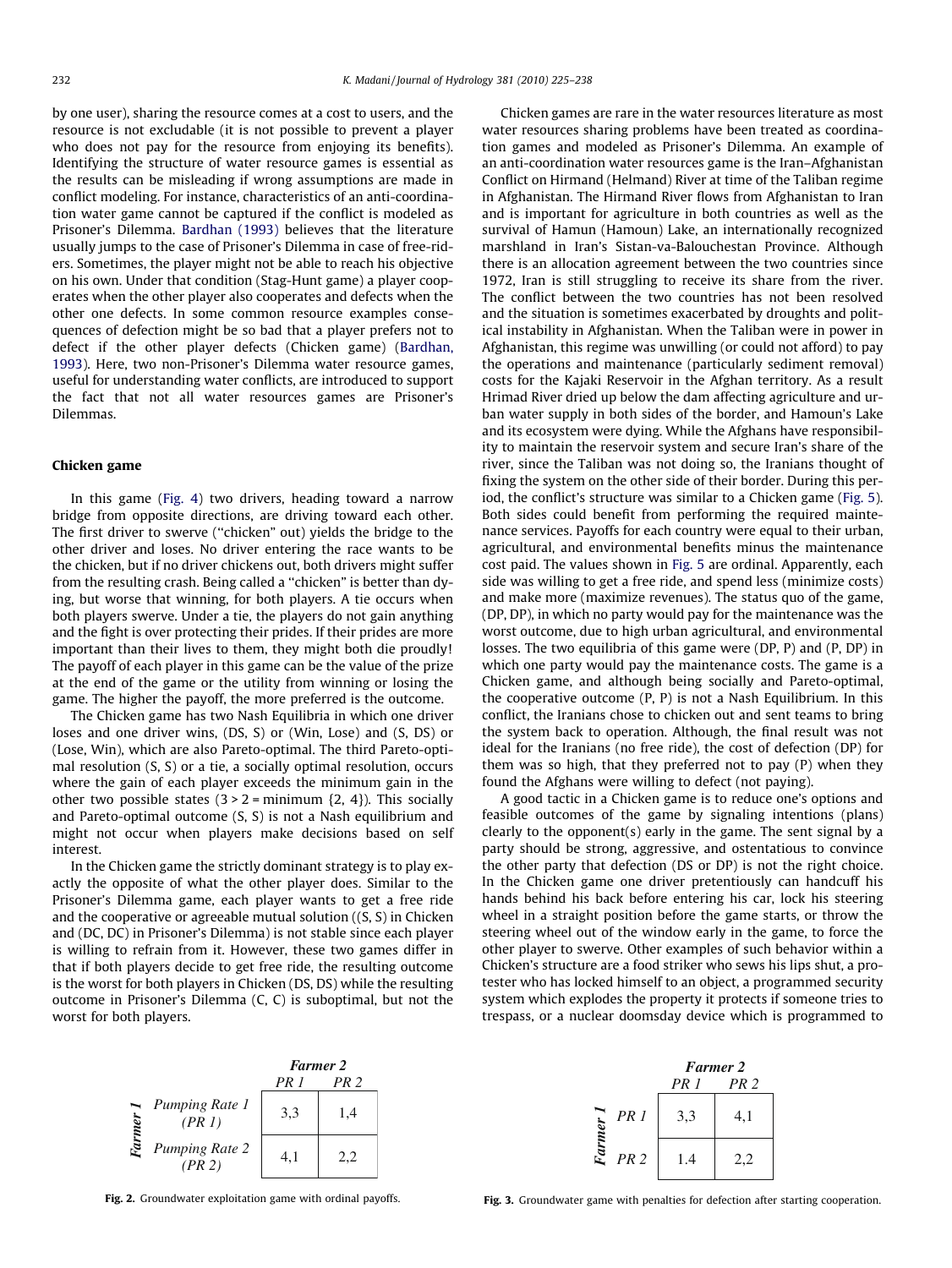<span id="page-7-0"></span>by one user), sharing the resource comes at a cost to users, and the resource is not excludable (it is not possible to prevent a player who does not pay for the resource from enjoying its benefits). Identifying the structure of water resource games is essential as the results can be misleading if wrong assumptions are made in conflict modeling. For instance, characteristics of an anti-coordination water game cannot be captured if the conflict is modeled as Prisoner's Dilemma. [Bardhan \(1993\)](#page-12-0) believes that the literature usually jumps to the case of Prisoner's Dilemma in case of free-riders. Sometimes, the player might not be able to reach his objective on his own. Under that condition (Stag-Hunt game) a player cooperates when the other player also cooperates and defects when the other one defects. In some common resource examples consequences of defection might be so bad that a player prefers not to defect if the other player defects (Chicken game) [\(Bardhan,](#page-12-0) [1993\)](#page-12-0). Here, two non-Prisoner's Dilemma water resource games, useful for understanding water conflicts, are introduced to support the fact that not all water resources games are Prisoner's Dilemmas.

#### Chicken game

In this game [\(Fig. 4](#page-8-0)) two drivers, heading toward a narrow bridge from opposite directions, are driving toward each other. The first driver to swerve (''chicken" out) yields the bridge to the other driver and loses. No driver entering the race wants to be the chicken, but if no driver chickens out, both drivers might suffer from the resulting crash. Being called a ''chicken" is better than dying, but worse that winning, for both players. A tie occurs when both players swerve. Under a tie, the players do not gain anything and the fight is over protecting their prides. If their prides are more important than their lives to them, they might both die proudly! The payoff of each player in this game can be the value of the prize at the end of the game or the utility from winning or losing the game. The higher the payoff, the more preferred is the outcome.

The Chicken game has two Nash Equilibria in which one driver loses and one driver wins, (DS, S) or (Win, Lose) and (S, DS) or (Lose, Win), which are also Pareto-optimal. The third Pareto-optimal resolution (S, S) or a tie, a socially optimal resolution, occurs where the gain of each player exceeds the minimum gain in the other two possible states  $(3 > 2 = \text{minimum } \{2, 4\})$ . This socially and Pareto-optimal outcome (S, S) is not a Nash equilibrium and might not occur when players make decisions based on self interest.

In the Chicken game the strictly dominant strategy is to play exactly the opposite of what the other player does. Similar to the Prisoner's Dilemma game, each player wants to get a free ride and the cooperative or agreeable mutual solution ((S, S) in Chicken and (DC, DC) in Prisoner's Dilemma) is not stable since each player is willing to refrain from it. However, these two games differ in that if both players decide to get free ride, the resulting outcome is the worst for both players in Chicken (DS, DS) while the resulting outcome in Prisoner's Dilemma (C, C) is suboptimal, but not the worst for both players.

Chicken games are rare in the water resources literature as most water resources sharing problems have been treated as coordination games and modeled as Prisoner's Dilemma. An example of an anti-coordination water resources game is the Iran–Afghanistan Conflict on Hirmand (Helmand) River at time of the Taliban regime in Afghanistan. The Hirmand River flows from Afghanistan to Iran and is important for agriculture in both countries as well as the survival of Hamun (Hamoun) Lake, an internationally recognized marshland in Iran's Sistan-va-Balouchestan Province. Although there is an allocation agreement between the two countries since 1972, Iran is still struggling to receive its share from the river. The conflict between the two countries has not been resolved and the situation is sometimes exacerbated by droughts and political instability in Afghanistan. When the Taliban were in power in Afghanistan, this regime was unwilling (or could not afford) to pay the operations and maintenance (particularly sediment removal) costs for the Kajaki Reservoir in the Afghan territory. As a result Hrimad River dried up below the dam affecting agriculture and urban water supply in both sides of the border, and Hamoun's Lake and its ecosystem were dying. While the Afghans have responsibility to maintain the reservoir system and secure Iran's share of the river, since the Taliban was not doing so, the Iranians thought of fixing the system on the other side of their border. During this period, the conflict's structure was similar to a Chicken game ([Fig. 5\)](#page-8-0). Both sides could benefit from performing the required maintenance services. Payoffs for each country were equal to their urban, agricultural, and environmental benefits minus the maintenance cost paid. The values shown in [Fig. 5](#page-8-0) are ordinal. Apparently, each side was willing to get a free ride, and spend less (minimize costs) and make more (maximize revenues). The status quo of the game, (DP, DP), in which no party would pay for the maintenance was the worst outcome, due to high urban agricultural, and environmental losses. The two equilibria of this game were (DP, P) and (P, DP) in which one party would pay the maintenance costs. The game is a Chicken game, and although being socially and Pareto-optimal, the cooperative outcome (P, P) is not a Nash Equilibrium. In this conflict, the Iranians chose to chicken out and sent teams to bring the system back to operation. Although, the final result was not ideal for the Iranians (no free ride), the cost of defection (DP) for them was so high, that they preferred not to pay (P) when they found the Afghans were willing to defect (not paying).

A good tactic in a Chicken game is to reduce one's options and feasible outcomes of the game by signaling intentions (plans) clearly to the opponent(s) early in the game. The sent signal by a party should be strong, aggressive, and ostentatious to convince the other party that defection (DS or DP) is not the right choice. In the Chicken game one driver pretentiously can handcuff his hands behind his back before entering his car, lock his steering wheel in a straight position before the game starts, or throw the steering wheel out of the window early in the game, to force the other player to swerve. Other examples of such behavior within a Chicken's structure are a food striker who sews his lips shut, a protester who has locked himself to an object, a programmed security system which explodes the property it protects if someone tries to trespass, or a nuclear doomsday device which is programmed to



*Farmer 2 PR 1 PR 2 Farmer 1*   $PR \, 1 \, | \, 3,3 \, | \, 4,1$ armer *PR 2* 1.4 2,2

Fig. 2. Groundwater exploitation game with ordinal payoffs.

Fig. 3. Groundwater game with penalties for defection after starting cooperation.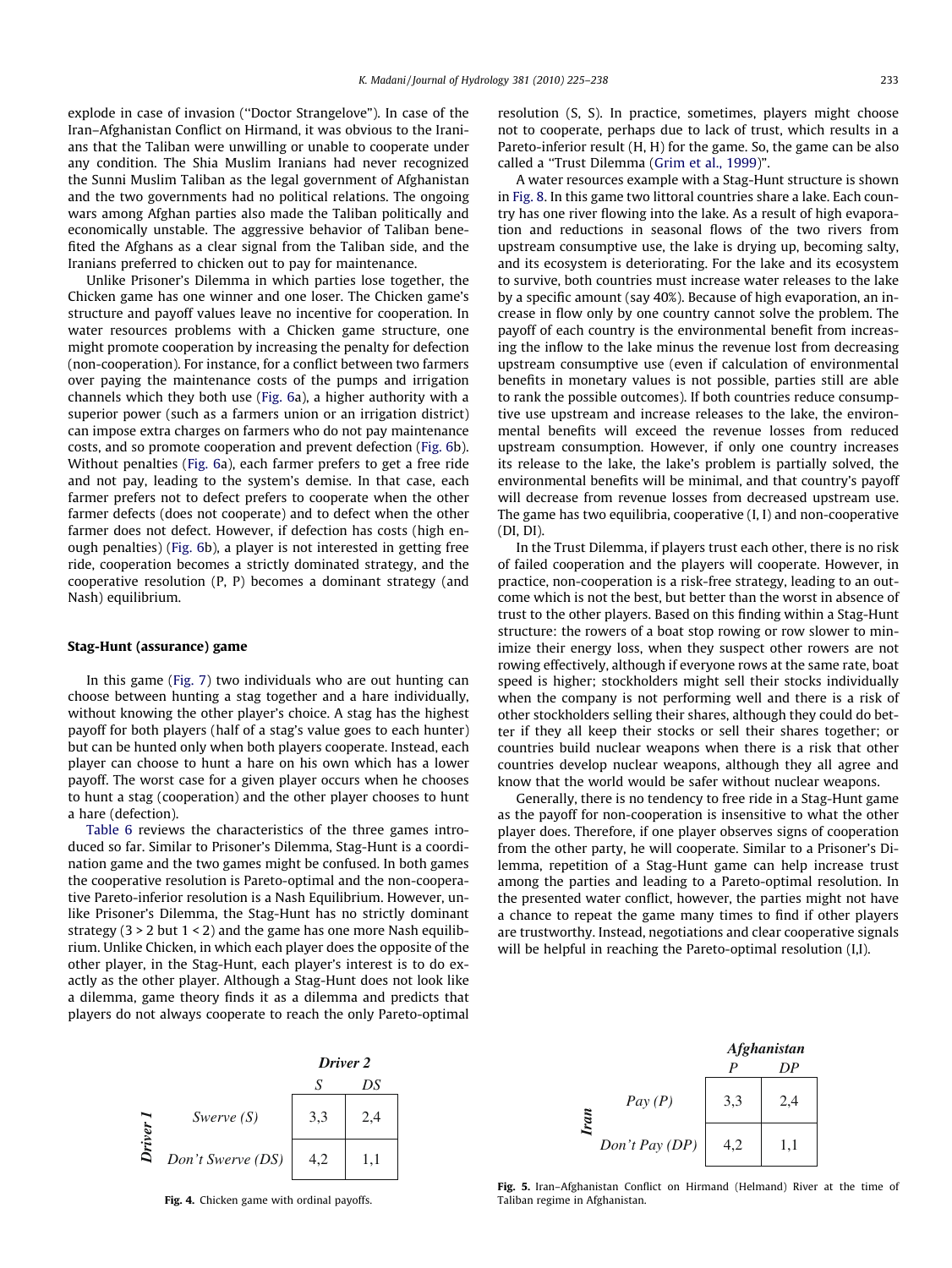<span id="page-8-0"></span>explode in case of invasion (''Doctor Strangelove"). In case of the Iran–Afghanistan Conflict on Hirmand, it was obvious to the Iranians that the Taliban were unwilling or unable to cooperate under any condition. The Shia Muslim Iranians had never recognized the Sunni Muslim Taliban as the legal government of Afghanistan and the two governments had no political relations. The ongoing wars among Afghan parties also made the Taliban politically and economically unstable. The aggressive behavior of Taliban benefited the Afghans as a clear signal from the Taliban side, and the Iranians preferred to chicken out to pay for maintenance.

Unlike Prisoner's Dilemma in which parties lose together, the Chicken game has one winner and one loser. The Chicken game's structure and payoff values leave no incentive for cooperation. In water resources problems with a Chicken game structure, one might promote cooperation by increasing the penalty for defection (non-cooperation). For instance, for a conflict between two farmers over paying the maintenance costs of the pumps and irrigation channels which they both use ([Fig. 6](#page-9-0)a), a higher authority with a superior power (such as a farmers union or an irrigation district) can impose extra charges on farmers who do not pay maintenance costs, and so promote cooperation and prevent defection ([Fig. 6b](#page-9-0)). Without penalties [\(Fig. 6](#page-9-0)a), each farmer prefers to get a free ride and not pay, leading to the system's demise. In that case, each farmer prefers not to defect prefers to cooperate when the other farmer defects (does not cooperate) and to defect when the other farmer does not defect. However, if defection has costs (high enough penalties) [\(Fig. 6b](#page-9-0)), a player is not interested in getting free ride, cooperation becomes a strictly dominated strategy, and the cooperative resolution (P, P) becomes a dominant strategy (and Nash) equilibrium.

#### Stag-Hunt (assurance) game

In this game [\(Fig. 7](#page-9-0)) two individuals who are out hunting can choose between hunting a stag together and a hare individually, without knowing the other player's choice. A stag has the highest payoff for both players (half of a stag's value goes to each hunter) but can be hunted only when both players cooperate. Instead, each player can choose to hunt a hare on his own which has a lower payoff. The worst case for a given player occurs when he chooses to hunt a stag (cooperation) and the other player chooses to hunt a hare (defection).

[Table 6](#page-9-0) reviews the characteristics of the three games introduced so far. Similar to Prisoner's Dilemma, Stag-Hunt is a coordination game and the two games might be confused. In both games the cooperative resolution is Pareto-optimal and the non-cooperative Pareto-inferior resolution is a Nash Equilibrium. However, unlike Prisoner's Dilemma, the Stag-Hunt has no strictly dominant strategy  $(3 > 2$  but  $1 < 2$ ) and the game has one more Nash equilibrium. Unlike Chicken, in which each player does the opposite of the other player, in the Stag-Hunt, each player's interest is to do exactly as the other player. Although a Stag-Hunt does not look like a dilemma, game theory finds it as a dilemma and predicts that players do not always cooperate to reach the only Pareto-optimal resolution (S, S). In practice, sometimes, players might choose not to cooperate, perhaps due to lack of trust, which results in a Pareto-inferior result (H, H) for the game. So, the game can be also called a ''Trust Dilemma ([Grim et al., 1999\)](#page-12-0)".

A water resources example with a Stag-Hunt structure is shown in [Fig. 8](#page-9-0). In this game two littoral countries share a lake. Each country has one river flowing into the lake. As a result of high evaporation and reductions in seasonal flows of the two rivers from upstream consumptive use, the lake is drying up, becoming salty, and its ecosystem is deteriorating. For the lake and its ecosystem to survive, both countries must increase water releases to the lake by a specific amount (say 40%). Because of high evaporation, an increase in flow only by one country cannot solve the problem. The payoff of each country is the environmental benefit from increasing the inflow to the lake minus the revenue lost from decreasing upstream consumptive use (even if calculation of environmental benefits in monetary values is not possible, parties still are able to rank the possible outcomes). If both countries reduce consumptive use upstream and increase releases to the lake, the environmental benefits will exceed the revenue losses from reduced upstream consumption. However, if only one country increases its release to the lake, the lake's problem is partially solved, the environmental benefits will be minimal, and that country's payoff will decrease from revenue losses from decreased upstream use. The game has two equilibria, cooperative (I, I) and non-cooperative (DI, DI).

In the Trust Dilemma, if players trust each other, there is no risk of failed cooperation and the players will cooperate. However, in practice, non-cooperation is a risk-free strategy, leading to an outcome which is not the best, but better than the worst in absence of trust to the other players. Based on this finding within a Stag-Hunt structure: the rowers of a boat stop rowing or row slower to minimize their energy loss, when they suspect other rowers are not rowing effectively, although if everyone rows at the same rate, boat speed is higher; stockholders might sell their stocks individually when the company is not performing well and there is a risk of other stockholders selling their shares, although they could do better if they all keep their stocks or sell their shares together; or countries build nuclear weapons when there is a risk that other countries develop nuclear weapons, although they all agree and know that the world would be safer without nuclear weapons.

Generally, there is no tendency to free ride in a Stag-Hunt game as the payoff for non-cooperation is insensitive to what the other player does. Therefore, if one player observes signs of cooperation from the other party, he will cooperate. Similar to a Prisoner's Dilemma, repetition of a Stag-Hunt game can help increase trust among the parties and leading to a Pareto-optimal resolution. In the presented water conflict, however, the parties might not have a chance to repeat the game many times to find if other players are trustworthy. Instead, negotiations and clear cooperative signals will be helpful in reaching the Pareto-optimal resolution (I,I).



Fig. 4. Chicken game with ordinal payoffs.



Fig. 5. Iran–Afghanistan Conflict on Hirmand (Helmand) River at the time of Taliban regime in Afghanistan.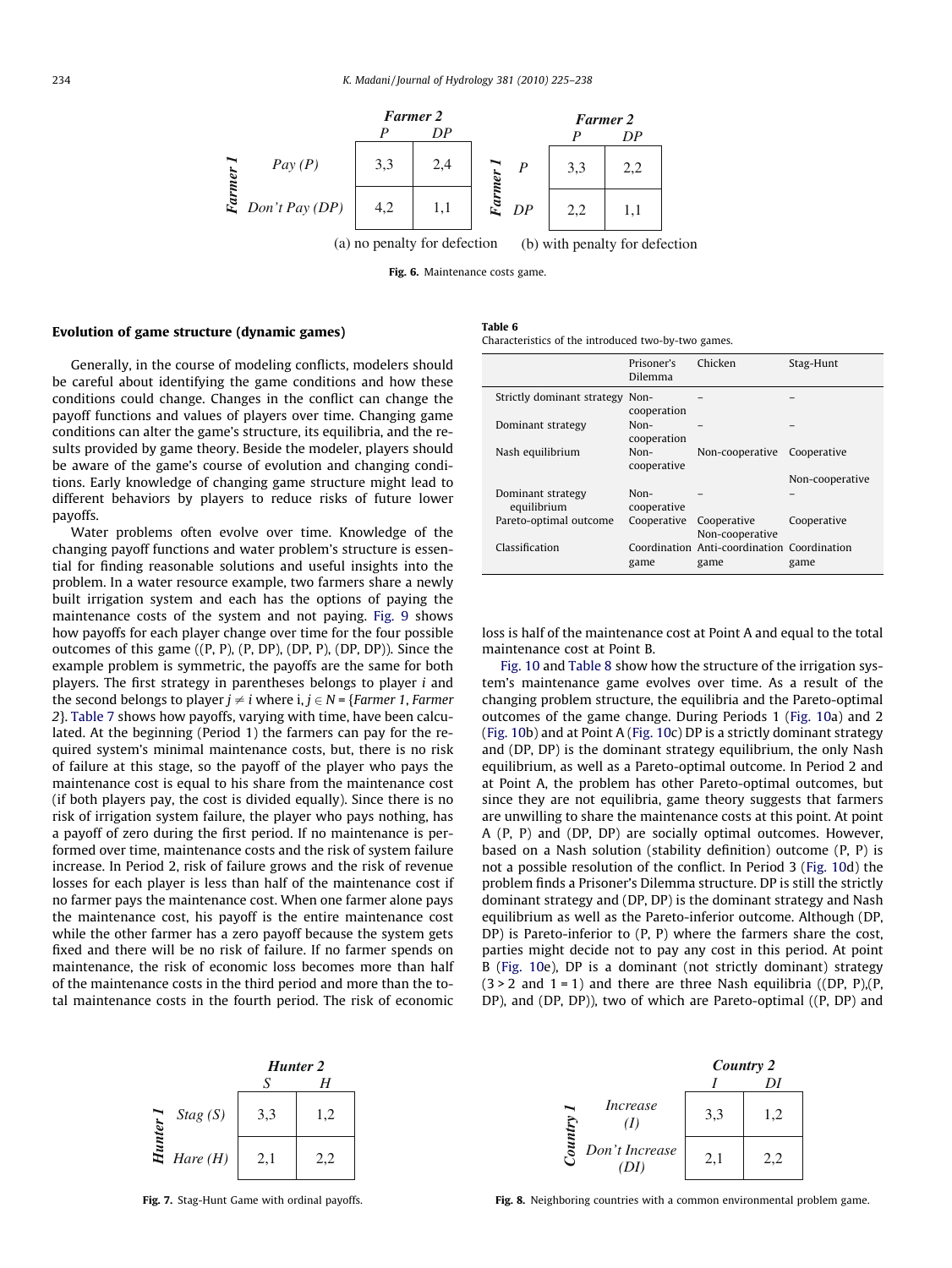<span id="page-9-0"></span>

Fig. 6. Maintenance costs game.

#### Evolution of game structure (dynamic games)

Table 6

Characteristics of the introduced two-by-two games.

Generally, in the course of modeling conflicts, modelers should be careful about identifying the game conditions and how these conditions could change. Changes in the conflict can change the payoff functions and values of players over time. Changing game conditions can alter the game's structure, its equilibria, and the results provided by game theory. Beside the modeler, players should be aware of the game's course of evolution and changing conditions. Early knowledge of changing game structure might lead to different behaviors by players to reduce risks of future lower payoffs.

Water problems often evolve over time. Knowledge of the changing payoff functions and water problem's structure is essential for finding reasonable solutions and useful insights into the problem. In a water resource example, two farmers share a newly built irrigation system and each has the options of paying the maintenance costs of the system and not paying. [Fig. 9](#page-10-0) shows how payoffs for each player change over time for the four possible outcomes of this game ((P, P), (P, DP), (DP, P), (DP, DP)). Since the example problem is symmetric, the payoffs are the same for both players. The first strategy in parentheses belongs to player i and the second belongs to player  $j \neq i$  where  $i, j \in N$  = {Farmer 1, Farmer 2}. [Table 7](#page-10-0) shows how payoffs, varying with time, have been calculated. At the beginning (Period 1) the farmers can pay for the required system's minimal maintenance costs, but, there is no risk of failure at this stage, so the payoff of the player who pays the maintenance cost is equal to his share from the maintenance cost (if both players pay, the cost is divided equally). Since there is no risk of irrigation system failure, the player who pays nothing, has a payoff of zero during the first period. If no maintenance is performed over time, maintenance costs and the risk of system failure increase. In Period 2, risk of failure grows and the risk of revenue losses for each player is less than half of the maintenance cost if no farmer pays the maintenance cost. When one farmer alone pays the maintenance cost, his payoff is the entire maintenance cost while the other farmer has a zero payoff because the system gets fixed and there will be no risk of failure. If no farmer spends on maintenance, the risk of economic loss becomes more than half of the maintenance costs in the third period and more than the total maintenance costs in the fourth period. The risk of economic

|                                  | Prisoner's<br>Dilemma | Chicken                                             | Stag-Hunt       |
|----------------------------------|-----------------------|-----------------------------------------------------|-----------------|
| Strictly dominant strategy       | Non-<br>cooperation   |                                                     |                 |
| Dominant strategy                | $Non-$<br>cooperation |                                                     |                 |
| Nash equilibrium                 | Non-<br>cooperative   | Non-cooperative                                     | Cooperative     |
|                                  |                       |                                                     | Non-cooperative |
| Dominant strategy<br>equilibrium | Non-<br>cooperative   |                                                     |                 |
| Pareto-optimal outcome           | Cooperative           | Cooperative<br>Non-cooperative                      | Cooperative     |
| Classification                   | game                  | Coordination Anti-coordination Coordination<br>game | game            |

loss is half of the maintenance cost at Point A and equal to the total maintenance cost at Point B.

[Fig. 10](#page-11-0) and [Table 8](#page-11-0) show how the structure of the irrigation system's maintenance game evolves over time. As a result of the changing problem structure, the equilibria and the Pareto-optimal outcomes of the game change. During Periods 1 ([Fig. 10](#page-11-0)a) and 2 ([Fig. 10](#page-11-0)b) and at Point A ([Fig. 10](#page-11-0)c) DP is a strictly dominant strategy and (DP, DP) is the dominant strategy equilibrium, the only Nash equilibrium, as well as a Pareto-optimal outcome. In Period 2 and at Point A, the problem has other Pareto-optimal outcomes, but since they are not equilibria, game theory suggests that farmers are unwilling to share the maintenance costs at this point. At point A (P, P) and (DP, DP) are socially optimal outcomes. However, based on a Nash solution (stability definition) outcome (P, P) is not a possible resolution of the conflict. In Period 3 ([Fig. 10d](#page-11-0)) the problem finds a Prisoner's Dilemma structure. DP is still the strictly dominant strategy and (DP, DP) is the dominant strategy and Nash equilibrium as well as the Pareto-inferior outcome. Although (DP, DP) is Pareto-inferior to (P, P) where the farmers share the cost, parties might decide not to pay any cost in this period. At point B ([Fig. 10](#page-11-0)e), DP is a dominant (not strictly dominant) strategy  $(3 > 2$  and  $1 = 1$ ) and there are three Nash equilibria ((DP, P), (P, DP), and (DP, DP)), two of which are Pareto-optimal ((P, DP) and

*Hunter 2 S H Hunter 1 Stag (S)*  $\begin{array}{|c|c|} 3,3 & 1,2 \end{array}$ **Tunter** *Hare* (*H*)  $\vert$  2,1  $\vert$  2,2

Fig. 7. Stag-Hunt Game with ordinal payoffs.



Fig. 8. Neighboring countries with a common environmental problem game.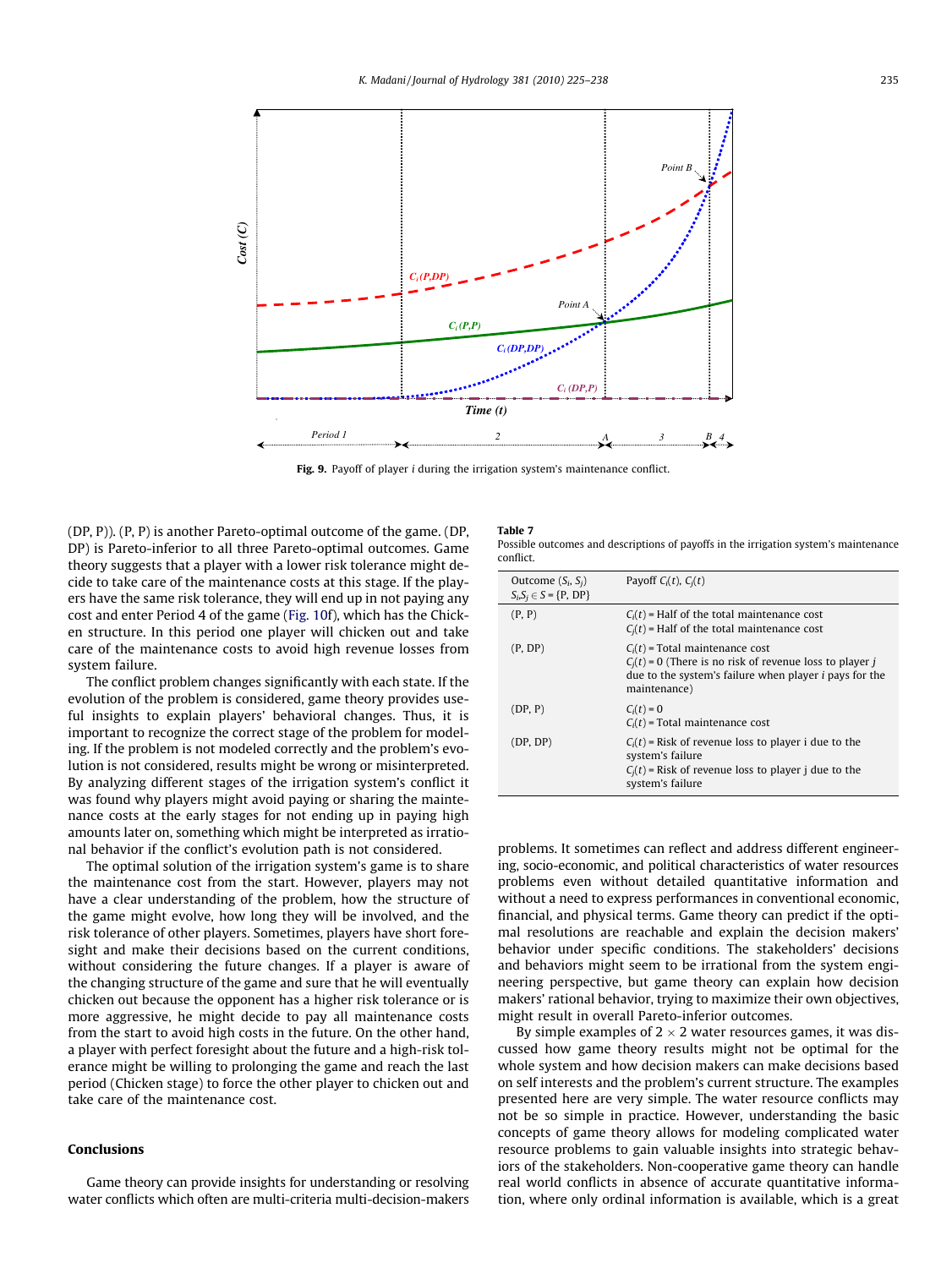<span id="page-10-0"></span>

Fig. 9. Payoff of player *i* during the irrigation system's maintenance conflict.

(DP, P)). (P, P) is another Pareto-optimal outcome of the game. (DP, DP) is Pareto-inferior to all three Pareto-optimal outcomes. Game theory suggests that a player with a lower risk tolerance might decide to take care of the maintenance costs at this stage. If the players have the same risk tolerance, they will end up in not paying any cost and enter Period 4 of the game ([Fig. 10](#page-11-0)f), which has the Chicken structure. In this period one player will chicken out and take care of the maintenance costs to avoid high revenue losses from system failure.

The conflict problem changes significantly with each state. If the evolution of the problem is considered, game theory provides useful insights to explain players' behavioral changes. Thus, it is important to recognize the correct stage of the problem for modeling. If the problem is not modeled correctly and the problem's evolution is not considered, results might be wrong or misinterpreted. By analyzing different stages of the irrigation system's conflict it was found why players might avoid paying or sharing the maintenance costs at the early stages for not ending up in paying high amounts later on, something which might be interpreted as irrational behavior if the conflict's evolution path is not considered.

The optimal solution of the irrigation system's game is to share the maintenance cost from the start. However, players may not have a clear understanding of the problem, how the structure of the game might evolve, how long they will be involved, and the risk tolerance of other players. Sometimes, players have short foresight and make their decisions based on the current conditions, without considering the future changes. If a player is aware of the changing structure of the game and sure that he will eventually chicken out because the opponent has a higher risk tolerance or is more aggressive, he might decide to pay all maintenance costs from the start to avoid high costs in the future. On the other hand, a player with perfect foresight about the future and a high-risk tolerance might be willing to prolonging the game and reach the last period (Chicken stage) to force the other player to chicken out and take care of the maintenance cost.

### Conclusions

Game theory can provide insights for understanding or resolving water conflicts which often are multi-criteria multi-decision-makers Table 7

Possible outcomes and descriptions of payoffs in the irrigation system's maintenance conflict.

| Outcome $(S_i, S_j)$<br>$S_i, S_i \in S = \{P, DP\}$ | Payoff $C_i(t)$ , $C_i(t)$                                                                                                                                                              |
|------------------------------------------------------|-----------------------------------------------------------------------------------------------------------------------------------------------------------------------------------------|
| (P, P)                                               | $C_i(t)$ = Half of the total maintenance cost<br>$C_i(t)$ = Half of the total maintenance cost                                                                                          |
| (P, DP)                                              | $C_i(t)$ = Total maintenance cost<br>$C_i(t)$ = 0 (There is no risk of revenue loss to player <i>i</i><br>due to the system's failure when player <i>i</i> pays for the<br>maintenance) |
| (DP, P)                                              | $C_i(t) = 0$<br>$C_i(t)$ = Total maintenance cost                                                                                                                                       |
| (DP, DP)                                             | $C_i(t)$ = Risk of revenue loss to player i due to the<br>system's failure<br>$C_i(t)$ = Risk of revenue loss to player j due to the<br>system's failure                                |

problems. It sometimes can reflect and address different engineering, socio-economic, and political characteristics of water resources problems even without detailed quantitative information and without a need to express performances in conventional economic, financial, and physical terms. Game theory can predict if the optimal resolutions are reachable and explain the decision makers' behavior under specific conditions. The stakeholders' decisions and behaviors might seem to be irrational from the system engineering perspective, but game theory can explain how decision makers' rational behavior, trying to maximize their own objectives, might result in overall Pareto-inferior outcomes.

By simple examples of 2  $\times$  2 water resources games, it was discussed how game theory results might not be optimal for the whole system and how decision makers can make decisions based on self interests and the problem's current structure. The examples presented here are very simple. The water resource conflicts may not be so simple in practice. However, understanding the basic concepts of game theory allows for modeling complicated water resource problems to gain valuable insights into strategic behaviors of the stakeholders. Non-cooperative game theory can handle real world conflicts in absence of accurate quantitative information, where only ordinal information is available, which is a great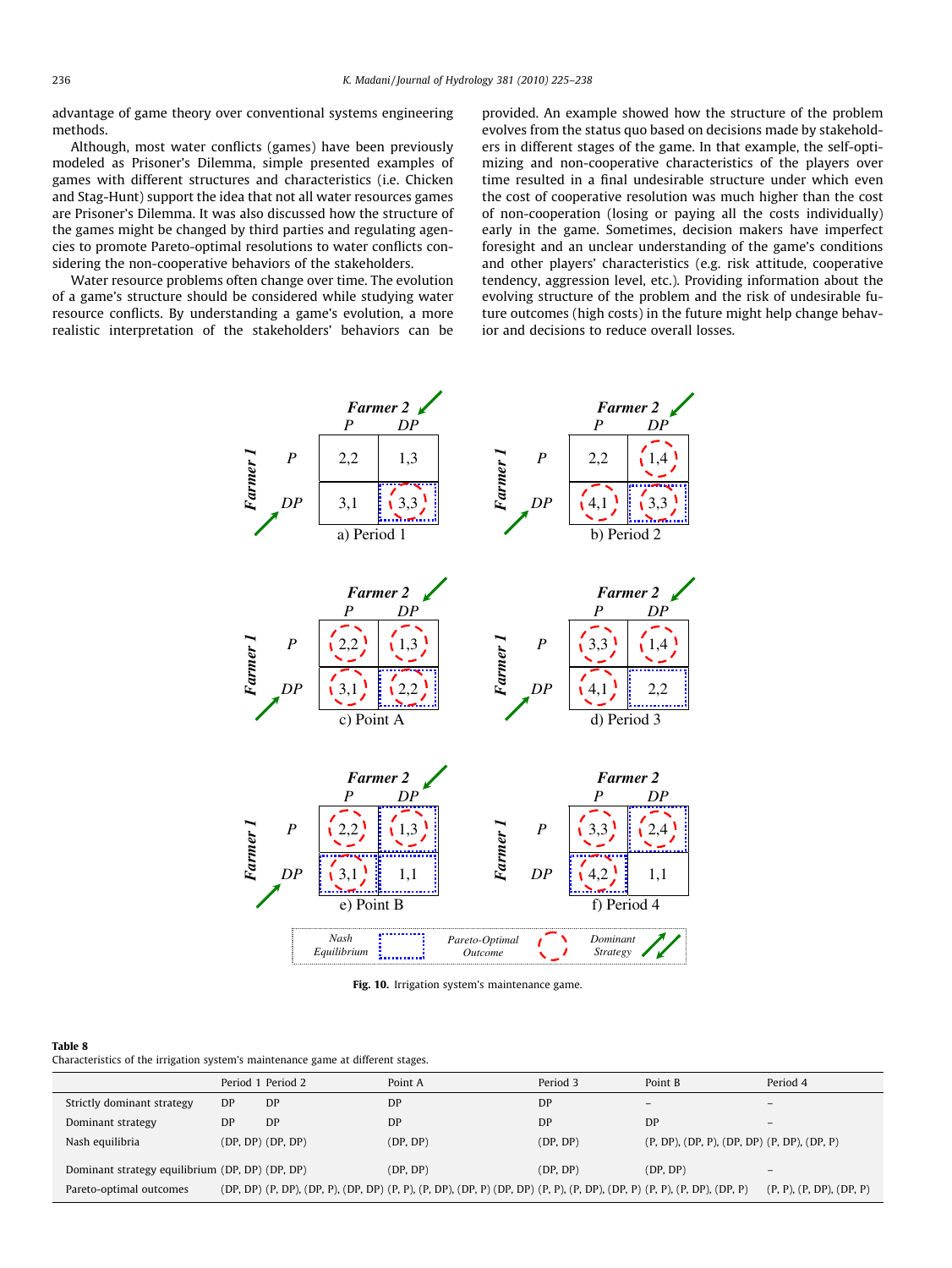<span id="page-11-0"></span>advantage of game theory over conventional systems engineering methods.

Although, most water conflicts (games) have been previously modeled as Prisoner's Dilemma, simple presented examples of games with different structures and characteristics (i.e. Chicken and Stag-Hunt) support the idea that not all water resources games are Prisoner's Dilemma. It was also discussed how the structure of the games might be changed by third parties and regulating agencies to promote Pareto-optimal resolutions to water conflicts considering the non-cooperative behaviors of the stakeholders.

Water resource problems often change over time. The evolution of a game's structure should be considered while studying water resource conflicts. By understanding a game's evolution, a more realistic interpretation of the stakeholders' behaviors can be

provided. An example showed how the structure of the problem evolves from the status quo based on decisions made by stakeholders in different stages of the game. In that example, the self-optimizing and non-cooperative characteristics of the players over time resulted in a final undesirable structure under which even the cost of cooperative resolution was much higher than the cost of non-cooperation (losing or paying all the costs individually) early in the game. Sometimes, decision makers have imperfect foresight and an unclear understanding of the game's conditions and other players' characteristics (e.g. risk attitude, cooperative tendency, aggression level, etc.). Providing information about the evolving structure of the problem and the risk of undesirable future outcomes (high costs) in the future might help change behavior and decisions to reduce overall losses.



Fig. 10. Irrigation system's maintenance game.

#### Table 8

Characteristics of the irrigation system's maintenance game at different stages.

|                                                 |    | Period 1 Period 2     | Point A                                                                                                                 | Period 3 | Point B                                                  | Period 4                 |
|-------------------------------------------------|----|-----------------------|-------------------------------------------------------------------------------------------------------------------------|----------|----------------------------------------------------------|--------------------------|
| Strictly dominant strategy                      | DP | DP                    | DP                                                                                                                      | DP       |                                                          |                          |
| Dominant strategy                               | DP | DP                    | DP                                                                                                                      | DP       | <b>DP</b>                                                | $\overline{\phantom{0}}$ |
| Nash equilibria                                 |    | $(DP, DP)$ $(DP, DP)$ | (DP, DP)                                                                                                                | (DP, DP) | $(P, DP)$ , $(DP, P)$ , $(DP, DP)$ $(P, DP)$ , $(DP, P)$ |                          |
| Dominant strategy equilibrium (DP, DP) (DP, DP) |    |                       | (DP, DP)                                                                                                                | (DP, DP) | (DP, DP)                                                 | $\overline{\phantom{0}}$ |
| Pareto-optimal outcomes                         |    |                       | (DP, DP) (P, DP), (DP, P), (DP, DP) (P, P), (P, DP), (DP, P) (DP, DP) (P, P), (P, DP), (DP, P) (P, P), (P, DP), (DP, P) |          |                                                          | (P, P), (P, DP), (DP, P) |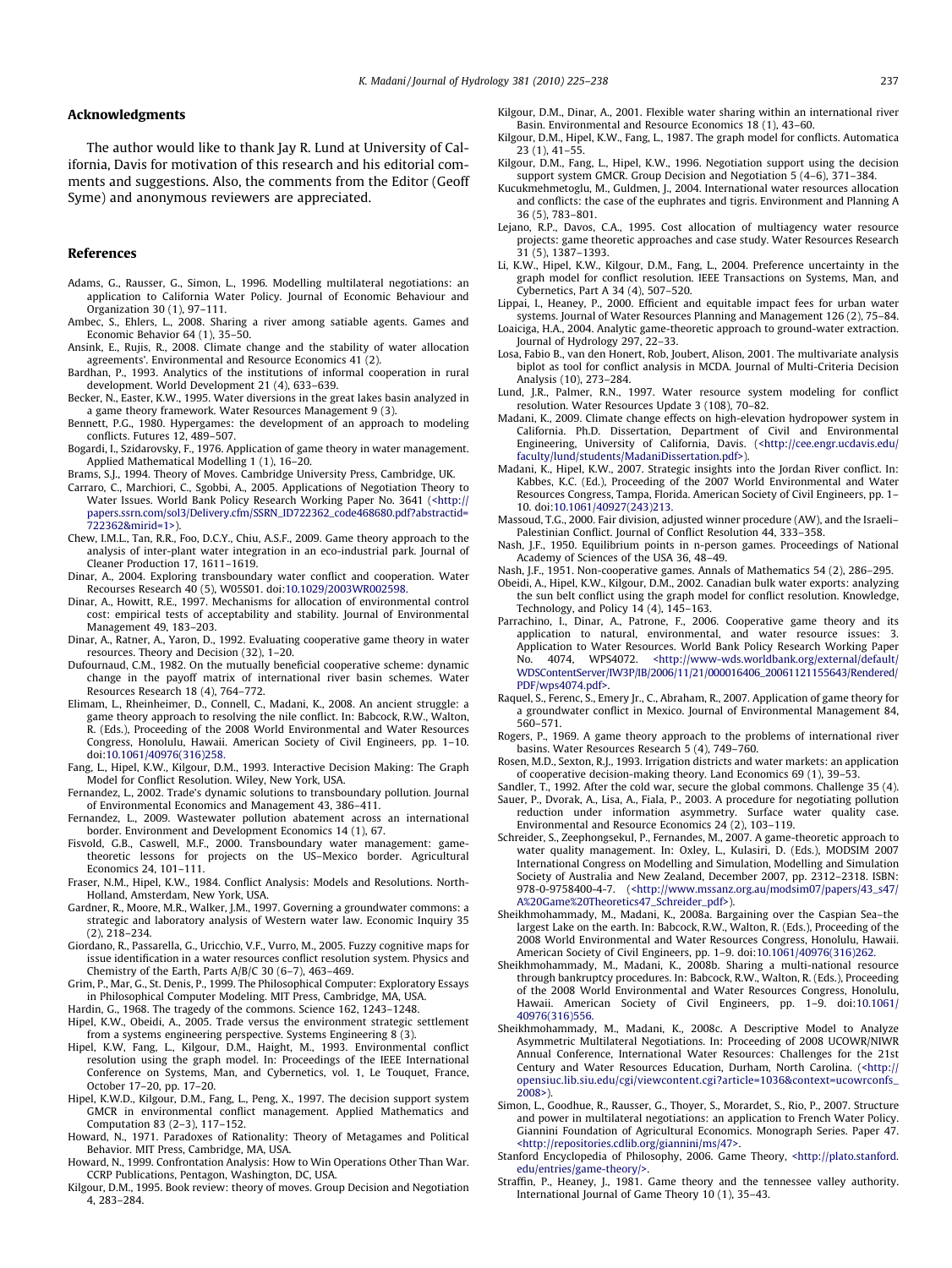#### <span id="page-12-0"></span>Acknowledgments

The author would like to thank Jay R. Lund at University of California, Davis for motivation of this research and his editorial comments and suggestions. Also, the comments from the Editor (Geoff Syme) and anonymous reviewers are appreciated.

#### References

- Adams, G., Rausser, G., Simon, L., 1996. Modelling multilateral negotiations: an application to California Water Policy. Journal of Economic Behaviour and Organization 30 (1), 97–111.
- Ambec, S., Ehlers, L., 2008. Sharing a river among satiable agents. Games and Economic Behavior 64 (1), 35–50.
- Ansink, E., Rujis, R., 2008. Climate change and the stability of water allocation agreements'. Environmental and Resource Economics 41 (2).
- Bardhan, P., 1993. Analytics of the institutions of informal cooperation in rural development. World Development 21 (4), 633–639.
- Becker, N., Easter, K.W., 1995. Water diversions in the great lakes basin analyzed in a game theory framework. Water Resources Management 9 (3).
- Bennett, P.G., 1980. Hypergames: the development of an approach to modeling conflicts. Futures 12, 489–507.
- Bogardi, I., Szidarovsky, F., 1976. Application of game theory in water management. Applied Mathematical Modelling 1 (1), 16–20.
- 
- Brams, S.J., 1994. Theory of Moves. Cambridge University Press, Cambridge, UK. Carraro, C., Marchiori, C., Sgobbi, A., 2005. Applications of Negotiation Theory to Water Issues. World Bank Policy Research Working Paper No. 3641 [\(<http://](http://papers.ssrn.com/sol3/Delivery.cfm/SSRN_ID722362_code468680.pdf?abstractid=722362&mirid=1) [papers.ssrn.com/sol3/Delivery.cfm/SSRN\\_ID722362\\_code468680.pdf?abstractid=](http://papers.ssrn.com/sol3/Delivery.cfm/SSRN_ID722362_code468680.pdf?abstractid=722362&mirid=1) [722362&mirid=1>\)](http://papers.ssrn.com/sol3/Delivery.cfm/SSRN_ID722362_code468680.pdf?abstractid=722362&mirid=1).
- Chew, I.M.L., Tan, R.R., Foo, D.C.Y., Chiu, A.S.F., 2009. Game theory approach to the analysis of inter-plant water integration in an eco-industrial park. Journal of Cleaner Production 17, 1611–1619.
- Dinar, A., 2004. Exploring transboundary water conflict and cooperation. Water Recourses Research 40 (5), W05S01. doi:[10.1029/2003WR002598.](http://dx.doi.org/10.1029/2003WR002598)
- Dinar, A., Howitt, R.E., 1997. Mechanisms for allocation of environmental control cost: empirical tests of acceptability and stability. Journal of Environmental Management 49, 183–203.
- Dinar, A., Ratner, A., Yaron, D., 1992. Evaluating cooperative game theory in water resources. Theory and Decision (32), 1–20.
- Dufournaud, C.M., 1982. On the mutually beneficial cooperative scheme: dynamic change in the payoff matrix of international river basin schemes. Water Resources Research 18 (4), 764–772.
- Elimam, L., Rheinheimer, D., Connell, C., Madani, K., 2008. An ancient struggle: a game theory approach to resolving the nile conflict. In: Babcock, R.W., Walton, R. (Eds.), Proceeding of the 2008 World Environmental and Water Resources Congress, Honolulu, Hawaii. American Society of Civil Engineers, pp. 1–10. doi[:10.1061/40976\(316\)258.](http://dx.doi.org/10.1061/40976(316)258)
- Fang, L., Hipel, K.W., Kilgour, D.M., 1993. Interactive Decision Making: The Graph Model for Conflict Resolution. Wiley, New York, USA.
- Fernandez, L., 2002. Trade's dynamic solutions to transboundary pollution. Journal of Environmental Economics and Management 43, 386–411.
- Fernandez, L., 2009. Wastewater pollution abatement across an international border. Environment and Development Economics 14 (1), 67.
- Fisvold, G.B., Caswell, M.F., 2000. Transboundary water management: gametheoretic lessons for projects on the US–Mexico border. Agricultural Economics 24, 101–111.
- Fraser, N.M., Hipel, K.W., 1984. Conflict Analysis: Models and Resolutions. North-Holland, Amsterdam, New York, USA.
- Gardner, R., Moore, M.R., Walker, J.M., 1997. Governing a groundwater commons: a strategic and laboratory analysis of Western water law. Economic Inquiry 35 (2), 218–234.
- Giordano, R., Passarella, G., Uricchio, V.F., Vurro, M., 2005. Fuzzy cognitive maps for issue identification in a water resources conflict resolution system. Physics and Chemistry of the Earth, Parts A/B/C 30 (6–7), 463–469.
- Grim, P., Mar, G., St. Denis, P., 1999. The Philosophical Computer: Exploratory Essays in Philosophical Computer Modeling. MIT Press, Cambridge, MA, USA.
- Hardin, G., 1968. The tragedy of the commons. Science 162, 1243–1248.
- Hipel, K.W., Obeidi, A., 2005. Trade versus the environment strategic settlement from a systems engineering perspective. Systems Engineering 8 (3). Hipel, K.W, Fang, L., Kilgour, D.M., Haight, M., 1993. Environmental conflict
- resolution using the graph model. In: Proceedings of the IEEE International Conference on Systems, Man, and Cybernetics, vol. 1, Le Touquet, France, October 17–20, pp. 17–20.
- Hipel, K.W.D., Kilgour, D.M., Fang, L., Peng, X., 1997. The decision support system GMCR in environmental conflict management. Applied Mathematics and Computation 83 (2–3), 117–152.
- Howard, N., 1971. Paradoxes of Rationality: Theory of Metagames and Political Behavior. MIT Press, Cambridge, MA, USA.
- Howard, N., 1999. Confrontation Analysis: How to Win Operations Other Than War. CCRP Publications, Pentagon, Washington, DC, USA.
- Kilgour, D.M., 1995. Book review: theory of moves. Group Decision and Negotiation 4, 283–284.
- Kilgour, D.M., Dinar, A., 2001. Flexible water sharing within an international river Basin. Environmental and Resource Economics 18 (1), 43–60.
- Kilgour, D.M., Hipel, K.W., Fang, L., 1987. The graph model for conflicts. Automatica 23 (1), 41–55.
- Kilgour, D.M., Fang, L., Hipel, K.W., 1996. Negotiation support using the decision support system GMCR. Group Decision and Negotiation 5 (4–6), 371–384.
- Kucukmehmetoglu, M., Guldmen, J., 2004. International water resources allocation and conflicts: the case of the euphrates and tigris. Environment and Planning A 36 (5), 783–801.
- Lejano, R.P., Davos, C.A., 1995. Cost allocation of multiagency water resource projects: game theoretic approaches and case study. Water Resources Research 31 (5), 1387–1393.
- Li, K.W., Hipel, K.W., Kilgour, D.M., Fang, L., 2004. Preference uncertainty in the graph model for conflict resolution. IEEE Transactions on Systems, Man, and Cybernetics, Part A 34 (4), 507–520.
- Lippai, I., Heaney, P., 2000. Efficient and equitable impact fees for urban water systems. Journal of Water Resources Planning and Management 126 (2), 75–84.
- Loaiciga, H.A., 2004. Analytic game-theoretic approach to ground-water extraction. Journal of Hydrology 297, 22–33.
- Losa, Fabio B., van den Honert, Rob, Joubert, Alison, 2001. The multivariate analysis biplot as tool for conflict analysis in MCDA. Journal of Multi-Criteria Decision Analysis (10), 273–284.
- Lund, J.R., Palmer, R.N., 1997. Water resource system modeling for conflict resolution. Water Resources Update 3 (108), 70–82.
- Madani, K., 2009. Climate change effects on high-elevation hydropower system in California. Ph.D. Dissertation, Department of Civil and Environmental Engineering, University of California, Davis. ([<http://cee.engr.ucdavis.edu/](http://cee.engr.ucdavis.edu/faculty/lund/students/MadaniDissertation.pdf) [faculty/lund/students/MadaniDissertation.pdf>](http://cee.engr.ucdavis.edu/faculty/lund/students/MadaniDissertation.pdf)).
- Madani, K., Hipel, K.W., 2007. Strategic insights into the Jordan River conflict. In: Kabbes, K.C. (Ed.), Proceeding of the 2007 World Environmental and Water Resources Congress, Tampa, Florida. American Society of Civil Engineers, pp. 1– 10. doi:[10.1061/40927\(243\)213.](http://dx.doi.org/10.1061/40927(243)213)
- Massoud, T.G., 2000. Fair division, adjusted winner procedure (AW), and the Israeli– Palestinian Conflict. Journal of Conflict Resolution 44, 333–358.
- Nash, J.F., 1950. Equilibrium points in n-person games. Proceedings of National Academy of Sciences of the USA 36, 48–49.
- Nash, J.F., 1951. Non-cooperative games. Annals of Mathematics 54 (2), 286–295.
- Obeidi, A., Hipel, K.W., Kilgour, D.M., 2002. Canadian bulk water exports: analyzing the sun belt conflict using the graph model for conflict resolution. Knowledge, Technology, and Policy  $14$  (4),  $145-163$ .
- Parrachino, I., Dinar, A., Patrone, F., 2006. Cooperative game theory and its application to natural, environmental, and water resource issues: 3. Application to Water Resources. World Bank Policy Research Working Paper No. 4074, WPS4072. [<http://www-wds.worldbank.org/external/default/](http://www-wds.worldbank.org/external/default/WDSContentServer/IW3P/IB/2006/11/21/000016406_20061121155643/Rendered/PDF/wps4074.pdf) [WDSContentServer/IW3P/IB/2006/11/21/000016406\\_20061121155643/Rendered/](http://www-wds.worldbank.org/external/default/WDSContentServer/IW3P/IB/2006/11/21/000016406_20061121155643/Rendered/PDF/wps4074.pdf) [PDF/wps4074.pdf>](http://www-wds.worldbank.org/external/default/WDSContentServer/IW3P/IB/2006/11/21/000016406_20061121155643/Rendered/PDF/wps4074.pdf).
- Raquel, S., Ferenc, S., Emery Jr., C., Abraham, R., 2007. Application of game theory for a groundwater conflict in Mexico. Journal of Environmental Management 84, 560–571.
- Rogers, P., 1969. A game theory approach to the problems of international river basins. Water Resources Research 5 (4), 749–760.
- Rosen, M.D., Sexton, R.J., 1993. Irrigation districts and water markets: an application of cooperative decision-making theory. Land Economics 69 (1), 39–53.
- Sandler, T., 1992. After the cold war, secure the global commons. Challenge 35 (4). Sauer, P., Dvorak, A., Lisa, A., Fiala, P., 2003. A procedure for negotiating pollution reduction under information asymmetry. Surface water quality case. Environmental and Resource Economics 24 (2), 103–119.
- Schreider, S., Zeephongsekul, P., Fernandes, M., 2007. A game-theoretic approach to water quality management. In: Oxley, L., Kulasiri, D. (Eds.), MODSIM 2007 International Congress on Modelling and Simulation, Modelling and Simulation Society of Australia and New Zealand, December 2007, pp. 2312–2318. ISBN: 978-0-9758400-4-7. ([<http://www.mssanz.org.au/modsim07/papers/43\\_s47/](http://www.mssanz.org.au/modsim07/papers/43_s47/A%20Game%20Theoretics47_Schreider_pdf) [A%20Game%20Theoretics47\\_Schreider\\_pdf>](http://www.mssanz.org.au/modsim07/papers/43_s47/A%20Game%20Theoretics47_Schreider_pdf)).
- Sheikhmohammady, M., Madani, K., 2008a. Bargaining over the Caspian Sea–the largest Lake on the earth. In: Babcock, R.W., Walton, R. (Eds.), Proceeding of the 2008 World Environmental and Water Resources Congress, Honolulu, Hawaii.
- American Society of Civil Engineers, pp. 1–9. doi[:10.1061/40976\(316\)262.](http://dx.doi.org/10.1061/40976(316)262) Sheikhmohammady, M., Madani, K., 2008b. Sharing a multi-national resource through bankruptcy procedures. In: Babcock, R.W., Walton, R. (Eds.), Proceeding of the 2008 World Environmental and Water Resources Congress, Honolulu, Hawaii. American Society of Civil Engineers, pp. 1–9. doi:[10.1061/](http://dx.doi.org/10.1061/40976(316)556) [40976\(316\)556.](http://dx.doi.org/10.1061/40976(316)556)
- Sheikhmohammady, M., Madani, K., 2008c. A Descriptive Model to Analyze Asymmetric Multilateral Negotiations. In: Proceeding of 2008 UCOWR/NIWR Annual Conference, International Water Resources: Challenges for the 21st Century and Water Resources Education, Durham, North Carolina. [\(<http://](http://opensiuc.lib.siu.edu/cgi/viewcontent.cgi?article=1036&context=ucowrconfs_2008) [opensiuc.lib.siu.edu/cgi/viewcontent.cgi?article=1036&context=ucowrconfs\\_](http://opensiuc.lib.siu.edu/cgi/viewcontent.cgi?article=1036&context=ucowrconfs_2008) [2008>](http://opensiuc.lib.siu.edu/cgi/viewcontent.cgi?article=1036&context=ucowrconfs_2008)).
- Simon, L., Goodhue, R., Rausser, G., Thoyer, S., Morardet, S., Rio, P., 2007. Structure and power in multilateral negotiations: an application to French Water Policy. Giannini Foundation of Agricultural Economics. Monograph Series. Paper 47. [<http://repositories.cdlib.org/giannini/ms/47>](http://repositories.cdlib.org/giannini/ms/47).
- Stanford Encyclopedia of Philosophy, 2006. Game Theory, [<http://plato.stanford.](http://plato.stanford.edu/entries/game-theory/) [edu/entries/game-theory/>.](http://plato.stanford.edu/entries/game-theory/)
- Straffin, P., Heaney, J., 1981. Game theory and the tennessee valley authority. International Journal of Game Theory 10 (1), 35–43.